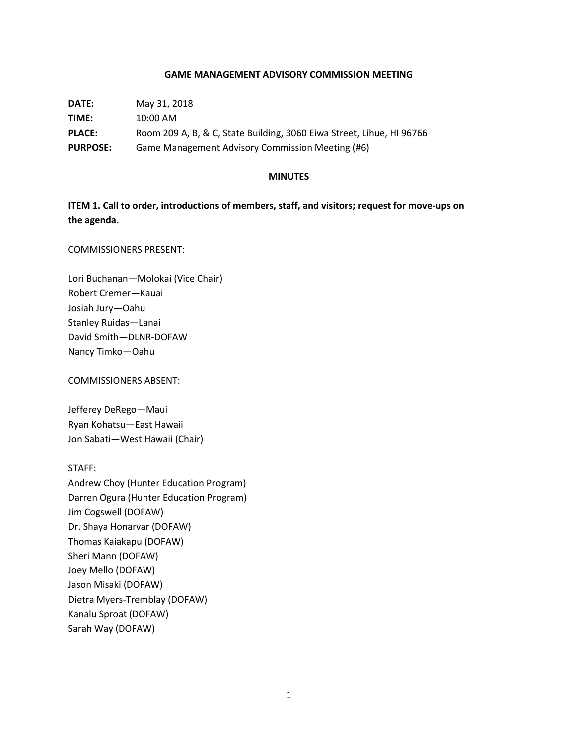## **GAME MANAGEMENT ADVISORY COMMISSION MEETING**

| DATE:           | May 31, 2018                                                          |
|-----------------|-----------------------------------------------------------------------|
| TIME:           | $10:00 \text{ AM}$                                                    |
| <b>PLACE:</b>   | Room 209 A, B, & C, State Building, 3060 Eiwa Street, Lihue, HI 96766 |
| <b>PURPOSE:</b> | Game Management Advisory Commission Meeting (#6)                      |

#### **MINUTES**

**ITEM 1. Call to order, introductions of members, staff, and visitors; request for move-ups on the agenda.**

COMMISSIONERS PRESENT:

Lori Buchanan—Molokai (Vice Chair) Robert Cremer—Kauai Josiah Jury—Oahu Stanley Ruidas—Lanai David Smith—DLNR-DOFAW Nancy Timko—Oahu

COMMISSIONERS ABSENT:

Jefferey DeRego—Maui Ryan Kohatsu—East Hawaii Jon Sabati—West Hawaii (Chair)

STAFF: Andrew Choy (Hunter Education Program) Darren Ogura (Hunter Education Program) Jim Cogswell (DOFAW) Dr. Shaya Honarvar (DOFAW) Thomas Kaiakapu (DOFAW) Sheri Mann (DOFAW) Joey Mello (DOFAW) Jason Misaki (DOFAW) Dietra Myers-Tremblay (DOFAW) Kanalu Sproat (DOFAW) Sarah Way (DOFAW)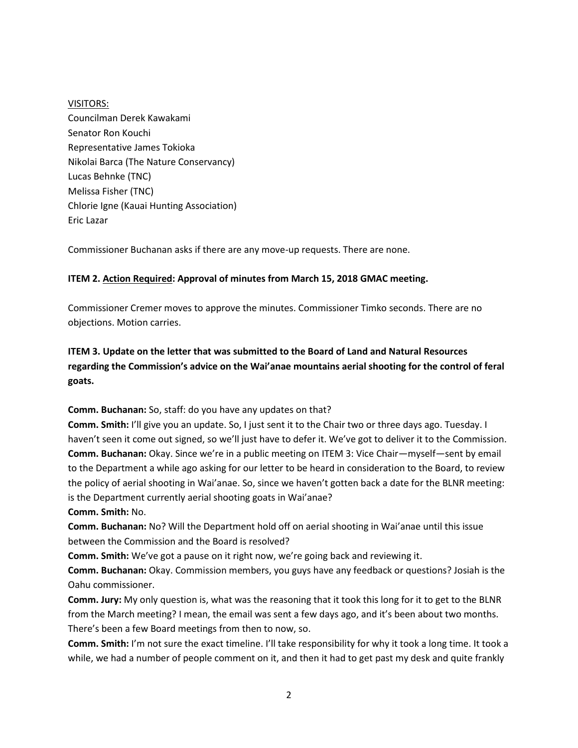VISITORS: Councilman Derek Kawakami Senator Ron Kouchi Representative James Tokioka Nikolai Barca (The Nature Conservancy) Lucas Behnke (TNC) Melissa Fisher (TNC) Chlorie Igne (Kauai Hunting Association) Eric Lazar

Commissioner Buchanan asks if there are any move-up requests. There are none.

# **ITEM 2. Action Required: Approval of minutes from March 15, 2018 GMAC meeting.**

Commissioner Cremer moves to approve the minutes. Commissioner Timko seconds. There are no objections. Motion carries.

**ITEM 3. Update on the letter that was submitted to the Board of Land and Natural Resources regarding the Commission's advice on the Wai'anae mountains aerial shooting for the control of feral goats.**

**Comm. Buchanan:** So, staff: do you have any updates on that?

**Comm. Smith:** I'll give you an update. So, I just sent it to the Chair two or three days ago. Tuesday. I haven't seen it come out signed, so we'll just have to defer it. We've got to deliver it to the Commission. **Comm. Buchanan:** Okay. Since we're in a public meeting on ITEM 3: Vice Chair—myself—sent by email to the Department a while ago asking for our letter to be heard in consideration to the Board, to review the policy of aerial shooting in Wai'anae. So, since we haven't gotten back a date for the BLNR meeting: is the Department currently aerial shooting goats in Wai'anae?

**Comm. Smith:** No.

**Comm. Buchanan:** No? Will the Department hold off on aerial shooting in Wai'anae until this issue between the Commission and the Board is resolved?

**Comm. Smith:** We've got a pause on it right now, we're going back and reviewing it.

**Comm. Buchanan:** Okay. Commission members, you guys have any feedback or questions? Josiah is the Oahu commissioner.

**Comm. Jury:** My only question is, what was the reasoning that it took this long for it to get to the BLNR from the March meeting? I mean, the email was sent a few days ago, and it's been about two months. There's been a few Board meetings from then to now, so.

**Comm. Smith:** I'm not sure the exact timeline. I'll take responsibility for why it took a long time. It took a while, we had a number of people comment on it, and then it had to get past my desk and quite frankly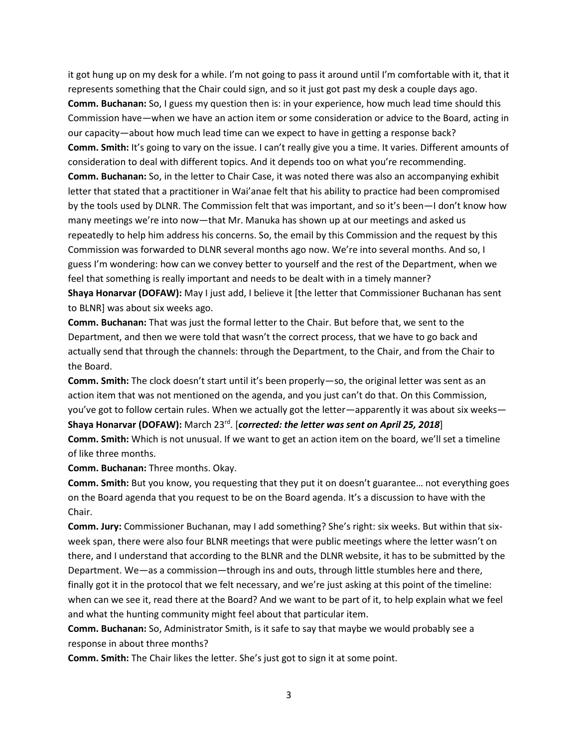it got hung up on my desk for a while. I'm not going to pass it around until I'm comfortable with it, that it represents something that the Chair could sign, and so it just got past my desk a couple days ago. **Comm. Buchanan:** So, I guess my question then is: in your experience, how much lead time should this Commission have—when we have an action item or some consideration or advice to the Board, acting in our capacity—about how much lead time can we expect to have in getting a response back? **Comm. Smith:** It's going to vary on the issue. I can't really give you a time. It varies. Different amounts of consideration to deal with different topics. And it depends too on what you're recommending. **Comm. Buchanan:** So, in the letter to Chair Case, it was noted there was also an accompanying exhibit letter that stated that a practitioner in Wai'anae felt that his ability to practice had been compromised by the tools used by DLNR. The Commission felt that was important, and so it's been—I don't know how many meetings we're into now—that Mr. Manuka has shown up at our meetings and asked us repeatedly to help him address his concerns. So, the email by this Commission and the request by this Commission was forwarded to DLNR several months ago now. We're into several months. And so, I guess I'm wondering: how can we convey better to yourself and the rest of the Department, when we feel that something is really important and needs to be dealt with in a timely manner?

**Shaya Honarvar (DOFAW):** May I just add, I believe it [the letter that Commissioner Buchanan has sent to BLNR] was about six weeks ago.

**Comm. Buchanan:** That was just the formal letter to the Chair. But before that, we sent to the Department, and then we were told that wasn't the correct process, that we have to go back and actually send that through the channels: through the Department, to the Chair, and from the Chair to the Board.

**Comm. Smith:** The clock doesn't start until it's been properly—so, the original letter was sent as an action item that was not mentioned on the agenda, and you just can't do that. On this Commission, you've got to follow certain rules. When we actually got the letter—apparently it was about six weeks— **Shaya Honarvar (DOFAW):** March 23rd . [*corrected: the letter was sent on April 25, 2018*] **Comm. Smith:** Which is not unusual. If we want to get an action item on the board, we'll set a timeline

of like three months.

**Comm. Buchanan:** Three months. Okay.

**Comm. Smith:** But you know, you requesting that they put it on doesn't guarantee… not everything goes on the Board agenda that you request to be on the Board agenda. It's a discussion to have with the Chair.

**Comm. Jury:** Commissioner Buchanan, may I add something? She's right: six weeks. But within that sixweek span, there were also four BLNR meetings that were public meetings where the letter wasn't on there, and I understand that according to the BLNR and the DLNR website, it has to be submitted by the Department. We—as a commission—through ins and outs, through little stumbles here and there, finally got it in the protocol that we felt necessary, and we're just asking at this point of the timeline: when can we see it, read there at the Board? And we want to be part of it, to help explain what we feel and what the hunting community might feel about that particular item.

**Comm. Buchanan:** So, Administrator Smith, is it safe to say that maybe we would probably see a response in about three months?

**Comm. Smith:** The Chair likes the letter. She's just got to sign it at some point.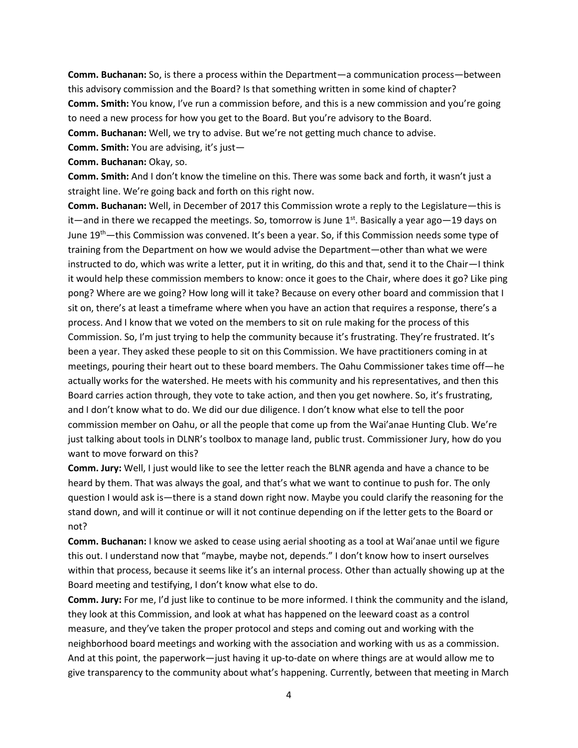**Comm. Buchanan:** So, is there a process within the Department—a communication process—between this advisory commission and the Board? Is that something written in some kind of chapter? **Comm. Smith:** You know, I've run a commission before, and this is a new commission and you're going to need a new process for how you get to the Board. But you're advisory to the Board. **Comm. Buchanan:** Well, we try to advise. But we're not getting much chance to advise.

**Comm. Smith:** You are advising, it's just—

**Comm. Buchanan:** Okay, so.

**Comm. Smith:** And I don't know the timeline on this. There was some back and forth, it wasn't just a straight line. We're going back and forth on this right now.

**Comm. Buchanan:** Well, in December of 2017 this Commission wrote a reply to the Legislature—this is it—and in there we recapped the meetings. So, tomorrow is June  $1<sup>st</sup>$ . Basically a year ago—19 days on June  $19<sup>th</sup>$ —this Commission was convened. It's been a year. So, if this Commission needs some type of training from the Department on how we would advise the Department—other than what we were instructed to do, which was write a letter, put it in writing, do this and that, send it to the Chair—I think it would help these commission members to know: once it goes to the Chair, where does it go? Like ping pong? Where are we going? How long will it take? Because on every other board and commission that I sit on, there's at least a timeframe where when you have an action that requires a response, there's a process. And I know that we voted on the members to sit on rule making for the process of this Commission. So, I'm just trying to help the community because it's frustrating. They're frustrated. It's been a year. They asked these people to sit on this Commission. We have practitioners coming in at meetings, pouring their heart out to these board members. The Oahu Commissioner takes time off—he actually works for the watershed. He meets with his community and his representatives, and then this Board carries action through, they vote to take action, and then you get nowhere. So, it's frustrating, and I don't know what to do. We did our due diligence. I don't know what else to tell the poor commission member on Oahu, or all the people that come up from the Wai'anae Hunting Club. We're just talking about tools in DLNR's toolbox to manage land, public trust. Commissioner Jury, how do you want to move forward on this?

**Comm. Jury:** Well, I just would like to see the letter reach the BLNR agenda and have a chance to be heard by them. That was always the goal, and that's what we want to continue to push for. The only question I would ask is—there is a stand down right now. Maybe you could clarify the reasoning for the stand down, and will it continue or will it not continue depending on if the letter gets to the Board or not?

**Comm. Buchanan:** I know we asked to cease using aerial shooting as a tool at Wai'anae until we figure this out. I understand now that "maybe, maybe not, depends." I don't know how to insert ourselves within that process, because it seems like it's an internal process. Other than actually showing up at the Board meeting and testifying, I don't know what else to do.

**Comm. Jury:** For me, I'd just like to continue to be more informed. I think the community and the island, they look at this Commission, and look at what has happened on the leeward coast as a control measure, and they've taken the proper protocol and steps and coming out and working with the neighborhood board meetings and working with the association and working with us as a commission. And at this point, the paperwork—just having it up-to-date on where things are at would allow me to give transparency to the community about what's happening. Currently, between that meeting in March

4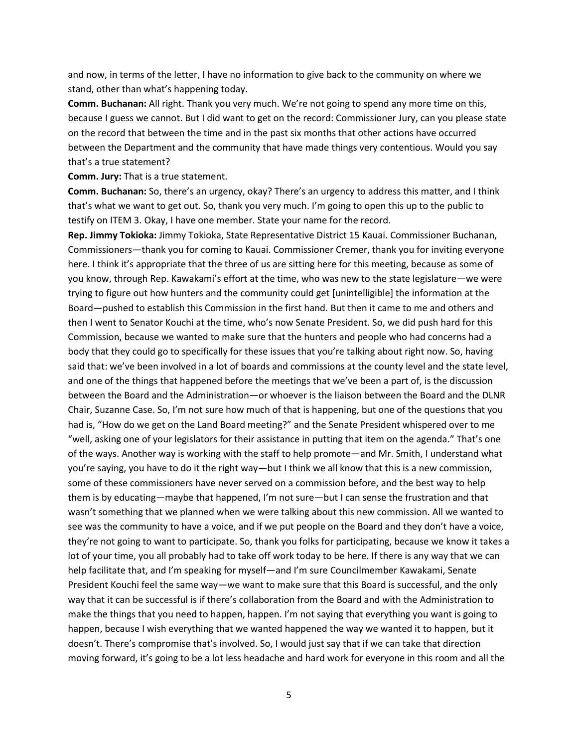and now, in terms of the letter, I have no information to give back to the community on where we stand, other than what's happening today.

**Comm. Buchanan:** All right. Thank you very much. We're not going to spend any more time on this, because I guess we cannot. But I did want to get on the record: Commissioner Jury, can you please state on the record that between the time and in the past six months that other actions have occurred between the Department and the community that have made things very contentious. Would you say that's a true statement?

**Comm. Jury:** That is a true statement.

**Comm. Buchanan:** So, there's an urgency, okay? There's an urgency to address this matter, and I think that's what we want to get out. So, thank you very much. I'm going to open this up to the public to testify on ITEM 3. Okay, I have one member. State your name for the record.

**Rep. Jimmy Tokioka:** Jimmy Tokioka, State Representative District 15 Kauai. Commissioner Buchanan, Commissioners—thank you for coming to Kauai. Commissioner Cremer, thank you for inviting everyone here. I think it's appropriate that the three of us are sitting here for this meeting, because as some of you know, through Rep. Kawakami's effort at the time, who was new to the state legislature—we were trying to figure out how hunters and the community could get [unintelligible] the information at the Board—pushed to establish this Commission in the first hand. But then it came to me and others and then I went to Senator Kouchi at the time, who's now Senate President. So, we did push hard for this Commission, because we wanted to make sure that the hunters and people who had concerns had a body that they could go to specifically for these issues that you're talking about right now. So, having said that: we've been involved in a lot of boards and commissions at the county level and the state level, and one of the things that happened before the meetings that we've been a part of, is the discussion between the Board and the Administration—or whoever is the liaison between the Board and the DLNR Chair, Suzanne Case. So, I'm not sure how much of that is happening, but one of the questions that you had is, "How do we get on the Land Board meeting?" and the Senate President whispered over to me "well, asking one of your legislators for their assistance in putting that item on the agenda." That's one of the ways. Another way is working with the staff to help promote—and Mr. Smith, I understand what you're saying, you have to do it the right way—but I think we all know that this is a new commission, some of these commissioners have never served on a commission before, and the best way to help them is by educating—maybe that happened, I'm not sure—but I can sense the frustration and that wasn't something that we planned when we were talking about this new commission. All we wanted to see was the community to have a voice, and if we put people on the Board and they don't have a voice, they're not going to want to participate. So, thank you folks for participating, because we know it takes a lot of your time, you all probably had to take off work today to be here. If there is any way that we can help facilitate that, and I'm speaking for myself—and I'm sure Councilmember Kawakami, Senate President Kouchi feel the same way—we want to make sure that this Board is successful, and the only way that it can be successful is if there's collaboration from the Board and with the Administration to make the things that you need to happen, happen. I'm not saying that everything you want is going to happen, because I wish everything that we wanted happened the way we wanted it to happen, but it doesn't. There's compromise that's involved. So, I would just say that if we can take that direction moving forward, it's going to be a lot less headache and hard work for everyone in this room and all the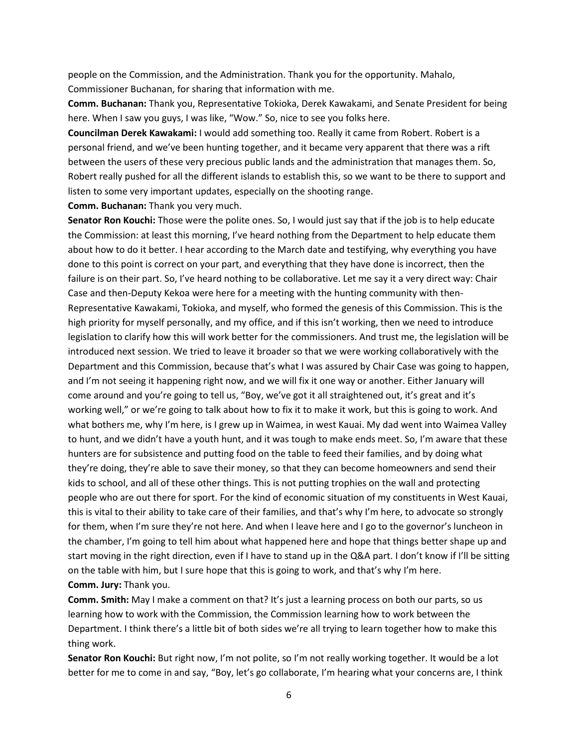people on the Commission, and the Administration. Thank you for the opportunity. Mahalo, Commissioner Buchanan, for sharing that information with me.

**Comm. Buchanan:** Thank you, Representative Tokioka, Derek Kawakami, and Senate President for being here. When I saw you guys, I was like, "Wow." So, nice to see you folks here.

**Councilman Derek Kawakami:** I would add something too. Really it came from Robert. Robert is a personal friend, and we've been hunting together, and it became very apparent that there was a rift between the users of these very precious public lands and the administration that manages them. So, Robert really pushed for all the different islands to establish this, so we want to be there to support and listen to some very important updates, especially on the shooting range.

**Comm. Buchanan:** Thank you very much.

**Senator Ron Kouchi:** Those were the polite ones. So, I would just say that if the job is to help educate the Commission: at least this morning, I've heard nothing from the Department to help educate them about how to do it better. I hear according to the March date and testifying, why everything you have done to this point is correct on your part, and everything that they have done is incorrect, then the failure is on their part. So, I've heard nothing to be collaborative. Let me say it a very direct way: Chair Case and then-Deputy Kekoa were here for a meeting with the hunting community with then-Representative Kawakami, Tokioka, and myself, who formed the genesis of this Commission. This is the high priority for myself personally, and my office, and if this isn't working, then we need to introduce legislation to clarify how this will work better for the commissioners. And trust me, the legislation will be introduced next session. We tried to leave it broader so that we were working collaboratively with the Department and this Commission, because that's what I was assured by Chair Case was going to happen, and I'm not seeing it happening right now, and we will fix it one way or another. Either January will come around and you're going to tell us, "Boy, we've got it all straightened out, it's great and it's working well," or we're going to talk about how to fix it to make it work, but this is going to work. And what bothers me, why I'm here, is I grew up in Waimea, in west Kauai. My dad went into Waimea Valley to hunt, and we didn't have a youth hunt, and it was tough to make ends meet. So, I'm aware that these hunters are for subsistence and putting food on the table to feed their families, and by doing what they're doing, they're able to save their money, so that they can become homeowners and send their kids to school, and all of these other things. This is not putting trophies on the wall and protecting people who are out there for sport. For the kind of economic situation of my constituents in West Kauai, this is vital to their ability to take care of their families, and that's why I'm here, to advocate so strongly for them, when I'm sure they're not here. And when I leave here and I go to the governor's luncheon in the chamber, I'm going to tell him about what happened here and hope that things better shape up and start moving in the right direction, even if I have to stand up in the Q&A part. I don't know if I'll be sitting on the table with him, but I sure hope that this is going to work, and that's why I'm here. **Comm. Jury:** Thank you.

**Comm. Smith:** May I make a comment on that? It's just a learning process on both our parts, so us learning how to work with the Commission, the Commission learning how to work between the Department. I think there's a little bit of both sides we're all trying to learn together how to make this thing work.

**Senator Ron Kouchi:** But right now, I'm not polite, so I'm not really working together. It would be a lot better for me to come in and say, "Boy, let's go collaborate, I'm hearing what your concerns are, I think

6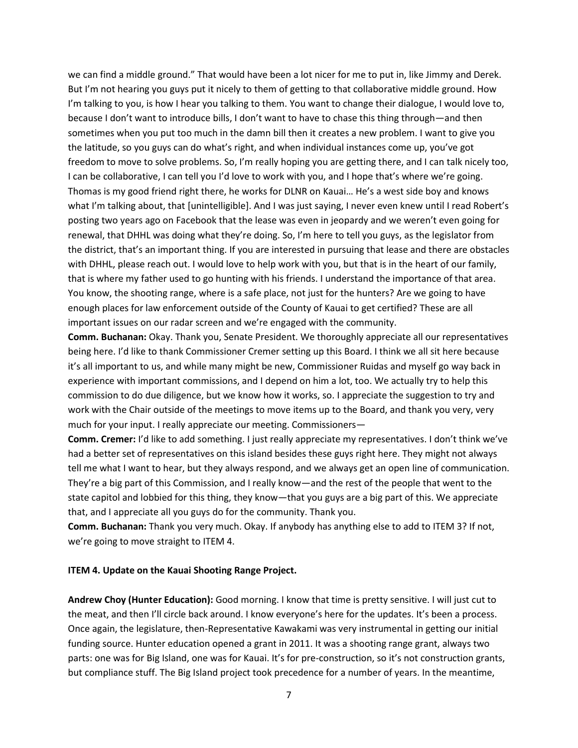we can find a middle ground." That would have been a lot nicer for me to put in, like Jimmy and Derek. But I'm not hearing you guys put it nicely to them of getting to that collaborative middle ground. How I'm talking to you, is how I hear you talking to them. You want to change their dialogue, I would love to, because I don't want to introduce bills, I don't want to have to chase this thing through—and then sometimes when you put too much in the damn bill then it creates a new problem. I want to give you the latitude, so you guys can do what's right, and when individual instances come up, you've got freedom to move to solve problems. So, I'm really hoping you are getting there, and I can talk nicely too, I can be collaborative, I can tell you I'd love to work with you, and I hope that's where we're going. Thomas is my good friend right there, he works for DLNR on Kauai… He's a west side boy and knows what I'm talking about, that [unintelligible]. And I was just saying, I never even knew until I read Robert's posting two years ago on Facebook that the lease was even in jeopardy and we weren't even going for renewal, that DHHL was doing what they're doing. So, I'm here to tell you guys, as the legislator from the district, that's an important thing. If you are interested in pursuing that lease and there are obstacles with DHHL, please reach out. I would love to help work with you, but that is in the heart of our family, that is where my father used to go hunting with his friends. I understand the importance of that area. You know, the shooting range, where is a safe place, not just for the hunters? Are we going to have enough places for law enforcement outside of the County of Kauai to get certified? These are all important issues on our radar screen and we're engaged with the community.

**Comm. Buchanan:** Okay. Thank you, Senate President. We thoroughly appreciate all our representatives being here. I'd like to thank Commissioner Cremer setting up this Board. I think we all sit here because it's all important to us, and while many might be new, Commissioner Ruidas and myself go way back in experience with important commissions, and I depend on him a lot, too. We actually try to help this commission to do due diligence, but we know how it works, so. I appreciate the suggestion to try and work with the Chair outside of the meetings to move items up to the Board, and thank you very, very much for your input. I really appreciate our meeting. Commissioners—

**Comm. Cremer:** I'd like to add something. I just really appreciate my representatives. I don't think we've had a better set of representatives on this island besides these guys right here. They might not always tell me what I want to hear, but they always respond, and we always get an open line of communication. They're a big part of this Commission, and I really know—and the rest of the people that went to the state capitol and lobbied for this thing, they know—that you guys are a big part of this. We appreciate that, and I appreciate all you guys do for the community. Thank you.

**Comm. Buchanan:** Thank you very much. Okay. If anybody has anything else to add to ITEM 3? If not, we're going to move straight to ITEM 4.

#### **ITEM 4. Update on the Kauai Shooting Range Project.**

**Andrew Choy (Hunter Education):** Good morning. I know that time is pretty sensitive. I will just cut to the meat, and then I'll circle back around. I know everyone's here for the updates. It's been a process. Once again, the legislature, then-Representative Kawakami was very instrumental in getting our initial funding source. Hunter education opened a grant in 2011. It was a shooting range grant, always two parts: one was for Big Island, one was for Kauai. It's for pre-construction, so it's not construction grants, but compliance stuff. The Big Island project took precedence for a number of years. In the meantime,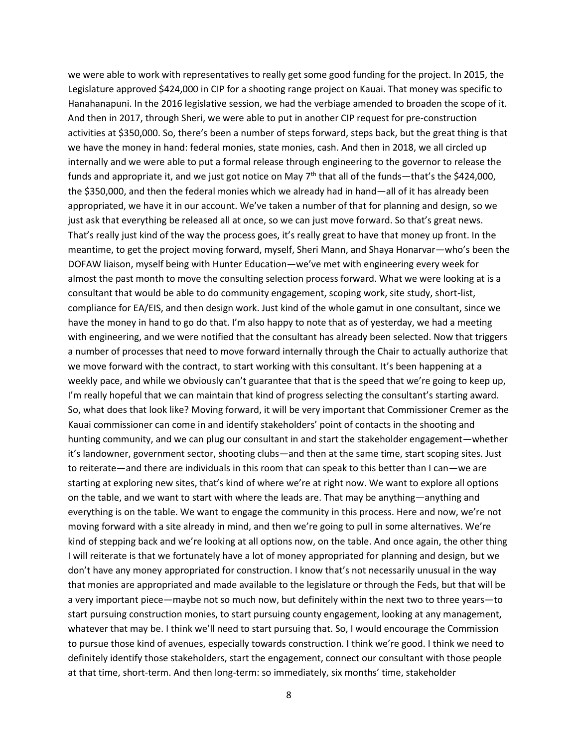we were able to work with representatives to really get some good funding for the project. In 2015, the Legislature approved \$424,000 in CIP for a shooting range project on Kauai. That money was specific to Hanahanapuni. In the 2016 legislative session, we had the verbiage amended to broaden the scope of it. And then in 2017, through Sheri, we were able to put in another CIP request for pre-construction activities at \$350,000. So, there's been a number of steps forward, steps back, but the great thing is that we have the money in hand: federal monies, state monies, cash. And then in 2018, we all circled up internally and we were able to put a formal release through engineering to the governor to release the funds and appropriate it, and we just got notice on May 7<sup>th</sup> that all of the funds—that's the \$424,000, the \$350,000, and then the federal monies which we already had in hand—all of it has already been appropriated, we have it in our account. We've taken a number of that for planning and design, so we just ask that everything be released all at once, so we can just move forward. So that's great news. That's really just kind of the way the process goes, it's really great to have that money up front. In the meantime, to get the project moving forward, myself, Sheri Mann, and Shaya Honarvar—who's been the DOFAW liaison, myself being with Hunter Education—we've met with engineering every week for almost the past month to move the consulting selection process forward. What we were looking at is a consultant that would be able to do community engagement, scoping work, site study, short-list, compliance for EA/EIS, and then design work. Just kind of the whole gamut in one consultant, since we have the money in hand to go do that. I'm also happy to note that as of yesterday, we had a meeting with engineering, and we were notified that the consultant has already been selected. Now that triggers a number of processes that need to move forward internally through the Chair to actually authorize that we move forward with the contract, to start working with this consultant. It's been happening at a weekly pace, and while we obviously can't guarantee that that is the speed that we're going to keep up, I'm really hopeful that we can maintain that kind of progress selecting the consultant's starting award. So, what does that look like? Moving forward, it will be very important that Commissioner Cremer as the Kauai commissioner can come in and identify stakeholders' point of contacts in the shooting and hunting community, and we can plug our consultant in and start the stakeholder engagement—whether it's landowner, government sector, shooting clubs—and then at the same time, start scoping sites. Just to reiterate—and there are individuals in this room that can speak to this better than I can—we are starting at exploring new sites, that's kind of where we're at right now. We want to explore all options on the table, and we want to start with where the leads are. That may be anything—anything and everything is on the table. We want to engage the community in this process. Here and now, we're not moving forward with a site already in mind, and then we're going to pull in some alternatives. We're kind of stepping back and we're looking at all options now, on the table. And once again, the other thing I will reiterate is that we fortunately have a lot of money appropriated for planning and design, but we don't have any money appropriated for construction. I know that's not necessarily unusual in the way that monies are appropriated and made available to the legislature or through the Feds, but that will be a very important piece—maybe not so much now, but definitely within the next two to three years—to start pursuing construction monies, to start pursuing county engagement, looking at any management, whatever that may be. I think we'll need to start pursuing that. So, I would encourage the Commission to pursue those kind of avenues, especially towards construction. I think we're good. I think we need to definitely identify those stakeholders, start the engagement, connect our consultant with those people at that time, short-term. And then long-term: so immediately, six months' time, stakeholder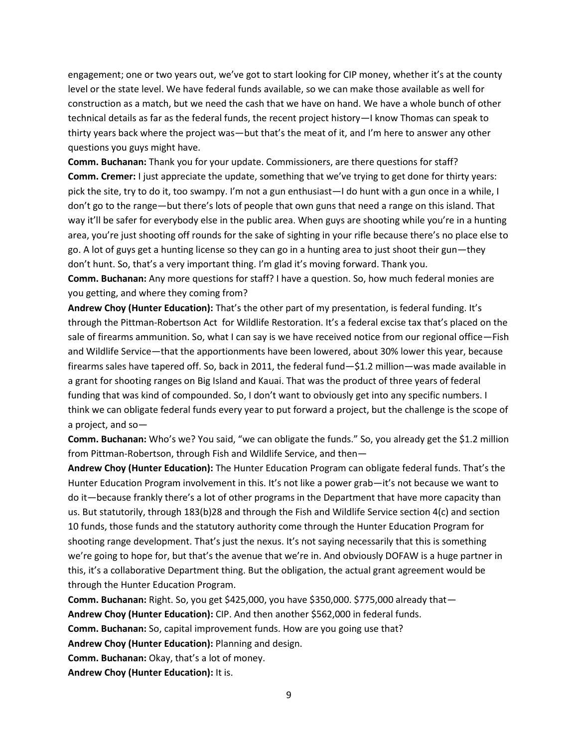engagement; one or two years out, we've got to start looking for CIP money, whether it's at the county level or the state level. We have federal funds available, so we can make those available as well for construction as a match, but we need the cash that we have on hand. We have a whole bunch of other technical details as far as the federal funds, the recent project history—I know Thomas can speak to thirty years back where the project was—but that's the meat of it, and I'm here to answer any other questions you guys might have.

**Comm. Buchanan:** Thank you for your update. Commissioners, are there questions for staff? **Comm. Cremer:** I just appreciate the update, something that we've trying to get done for thirty years: pick the site, try to do it, too swampy. I'm not a gun enthusiast—I do hunt with a gun once in a while, I don't go to the range—but there's lots of people that own guns that need a range on this island. That way it'll be safer for everybody else in the public area. When guys are shooting while you're in a hunting area, you're just shooting off rounds for the sake of sighting in your rifle because there's no place else to go. A lot of guys get a hunting license so they can go in a hunting area to just shoot their gun—they don't hunt. So, that's a very important thing. I'm glad it's moving forward. Thank you.

**Comm. Buchanan:** Any more questions for staff? I have a question. So, how much federal monies are you getting, and where they coming from?

**Andrew Choy (Hunter Education):** That's the other part of my presentation, is federal funding. It's through the Pittman-Robertson Act for Wildlife Restoration. It's a federal excise tax that's placed on the sale of firearms ammunition. So, what I can say is we have received notice from our regional office—Fish and Wildlife Service—that the apportionments have been lowered, about 30% lower this year, because firearms sales have tapered off. So, back in 2011, the federal fund—\$1.2 million—was made available in a grant for shooting ranges on Big Island and Kauai. That was the product of three years of federal funding that was kind of compounded. So, I don't want to obviously get into any specific numbers. I think we can obligate federal funds every year to put forward a project, but the challenge is the scope of a project, and so—

**Comm. Buchanan:** Who's we? You said, "we can obligate the funds." So, you already get the \$1.2 million from Pittman-Robertson, through Fish and Wildlife Service, and then—

**Andrew Choy (Hunter Education):** The Hunter Education Program can obligate federal funds. That's the Hunter Education Program involvement in this. It's not like a power grab—it's not because we want to do it—because frankly there's a lot of other programs in the Department that have more capacity than us. But statutorily, through 183(b)28 and through the Fish and Wildlife Service section 4(c) and section 10 funds, those funds and the statutory authority come through the Hunter Education Program for shooting range development. That's just the nexus. It's not saying necessarily that this is something we're going to hope for, but that's the avenue that we're in. And obviously DOFAW is a huge partner in this, it's a collaborative Department thing. But the obligation, the actual grant agreement would be through the Hunter Education Program.

**Comm. Buchanan:** Right. So, you get \$425,000, you have \$350,000. \$775,000 already that— **Andrew Choy (Hunter Education):** CIP. And then another \$562,000 in federal funds. **Comm. Buchanan:** So, capital improvement funds. How are you going use that? **Andrew Choy (Hunter Education):** Planning and design. **Comm. Buchanan:** Okay, that's a lot of money. **Andrew Choy (Hunter Education):** It is.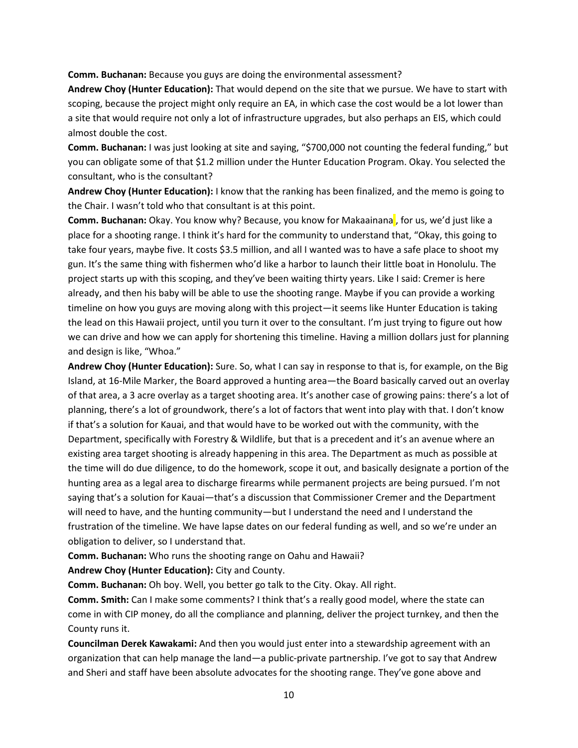**Comm. Buchanan:** Because you guys are doing the environmental assessment?

**Andrew Choy (Hunter Education):** That would depend on the site that we pursue. We have to start with scoping, because the project might only require an EA, in which case the cost would be a lot lower than a site that would require not only a lot of infrastructure upgrades, but also perhaps an EIS, which could almost double the cost.

**Comm. Buchanan:** I was just looking at site and saying, "\$700,000 not counting the federal funding," but you can obligate some of that \$1.2 million under the Hunter Education Program. Okay. You selected the consultant, who is the consultant?

**Andrew Choy (Hunter Education):** I know that the ranking has been finalized, and the memo is going to the Chair. I wasn't told who that consultant is at this point.

**Comm. Buchanan:** Okay. You know why? Because, you know for Makaainana, for us, we'd just like a place for a shooting range. I think it's hard for the community to understand that, "Okay, this going to take four years, maybe five. It costs \$3.5 million, and all I wanted was to have a safe place to shoot my gun. It's the same thing with fishermen who'd like a harbor to launch their little boat in Honolulu. The project starts up with this scoping, and they've been waiting thirty years. Like I said: Cremer is here already, and then his baby will be able to use the shooting range. Maybe if you can provide a working timeline on how you guys are moving along with this project—it seems like Hunter Education is taking the lead on this Hawaii project, until you turn it over to the consultant. I'm just trying to figure out how we can drive and how we can apply for shortening this timeline. Having a million dollars just for planning and design is like, "Whoa."

**Andrew Choy (Hunter Education):** Sure. So, what I can say in response to that is, for example, on the Big Island, at 16-Mile Marker, the Board approved a hunting area—the Board basically carved out an overlay of that area, a 3 acre overlay as a target shooting area. It's another case of growing pains: there's a lot of planning, there's a lot of groundwork, there's a lot of factors that went into play with that. I don't know if that's a solution for Kauai, and that would have to be worked out with the community, with the Department, specifically with Forestry & Wildlife, but that is a precedent and it's an avenue where an existing area target shooting is already happening in this area. The Department as much as possible at the time will do due diligence, to do the homework, scope it out, and basically designate a portion of the hunting area as a legal area to discharge firearms while permanent projects are being pursued. I'm not saying that's a solution for Kauai—that's a discussion that Commissioner Cremer and the Department will need to have, and the hunting community—but I understand the need and I understand the frustration of the timeline. We have lapse dates on our federal funding as well, and so we're under an obligation to deliver, so I understand that.

**Comm. Buchanan:** Who runs the shooting range on Oahu and Hawaii?

**Andrew Choy (Hunter Education):** City and County.

**Comm. Buchanan:** Oh boy. Well, you better go talk to the City. Okay. All right.

**Comm. Smith:** Can I make some comments? I think that's a really good model, where the state can come in with CIP money, do all the compliance and planning, deliver the project turnkey, and then the County runs it.

**Councilman Derek Kawakami:** And then you would just enter into a stewardship agreement with an organization that can help manage the land—a public-private partnership. I've got to say that Andrew and Sheri and staff have been absolute advocates for the shooting range. They've gone above and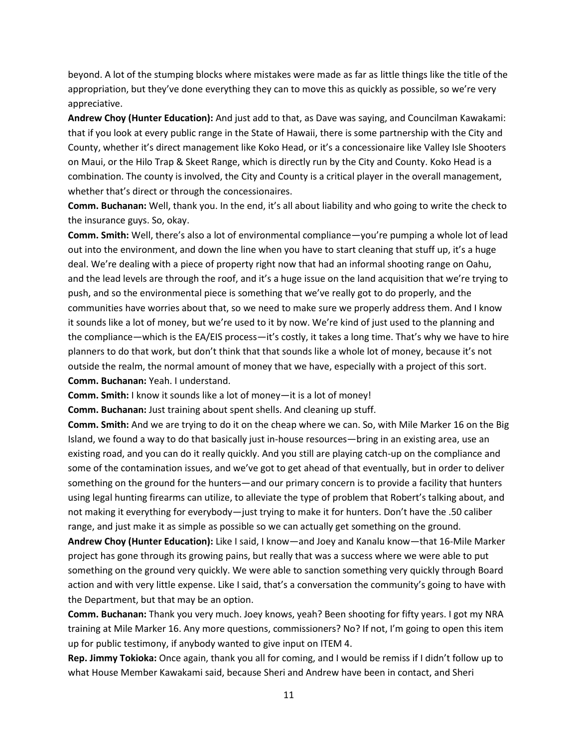beyond. A lot of the stumping blocks where mistakes were made as far as little things like the title of the appropriation, but they've done everything they can to move this as quickly as possible, so we're very appreciative.

**Andrew Choy (Hunter Education):** And just add to that, as Dave was saying, and Councilman Kawakami: that if you look at every public range in the State of Hawaii, there is some partnership with the City and County, whether it's direct management like Koko Head, or it's a concessionaire like Valley Isle Shooters on Maui, or the Hilo Trap & Skeet Range, which is directly run by the City and County. Koko Head is a combination. The county is involved, the City and County is a critical player in the overall management, whether that's direct or through the concessionaires.

**Comm. Buchanan:** Well, thank you. In the end, it's all about liability and who going to write the check to the insurance guys. So, okay.

**Comm. Smith:** Well, there's also a lot of environmental compliance—you're pumping a whole lot of lead out into the environment, and down the line when you have to start cleaning that stuff up, it's a huge deal. We're dealing with a piece of property right now that had an informal shooting range on Oahu, and the lead levels are through the roof, and it's a huge issue on the land acquisition that we're trying to push, and so the environmental piece is something that we've really got to do properly, and the communities have worries about that, so we need to make sure we properly address them. And I know it sounds like a lot of money, but we're used to it by now. We're kind of just used to the planning and the compliance—which is the EA/EIS process—it's costly, it takes a long time. That's why we have to hire planners to do that work, but don't think that that sounds like a whole lot of money, because it's not outside the realm, the normal amount of money that we have, especially with a project of this sort. **Comm. Buchanan:** Yeah. I understand.

**Comm. Smith:** I know it sounds like a lot of money—it is a lot of money!

**Comm. Buchanan:** Just training about spent shells. And cleaning up stuff.

**Comm. Smith:** And we are trying to do it on the cheap where we can. So, with Mile Marker 16 on the Big Island, we found a way to do that basically just in-house resources—bring in an existing area, use an existing road, and you can do it really quickly. And you still are playing catch-up on the compliance and some of the contamination issues, and we've got to get ahead of that eventually, but in order to deliver something on the ground for the hunters—and our primary concern is to provide a facility that hunters using legal hunting firearms can utilize, to alleviate the type of problem that Robert's talking about, and not making it everything for everybody—just trying to make it for hunters. Don't have the .50 caliber range, and just make it as simple as possible so we can actually get something on the ground.

**Andrew Choy (Hunter Education):** Like I said, I know—and Joey and Kanalu know—that 16-Mile Marker project has gone through its growing pains, but really that was a success where we were able to put something on the ground very quickly. We were able to sanction something very quickly through Board action and with very little expense. Like I said, that's a conversation the community's going to have with the Department, but that may be an option.

**Comm. Buchanan:** Thank you very much. Joey knows, yeah? Been shooting for fifty years. I got my NRA training at Mile Marker 16. Any more questions, commissioners? No? If not, I'm going to open this item up for public testimony, if anybody wanted to give input on ITEM 4.

**Rep. Jimmy Tokioka:** Once again, thank you all for coming, and I would be remiss if I didn't follow up to what House Member Kawakami said, because Sheri and Andrew have been in contact, and Sheri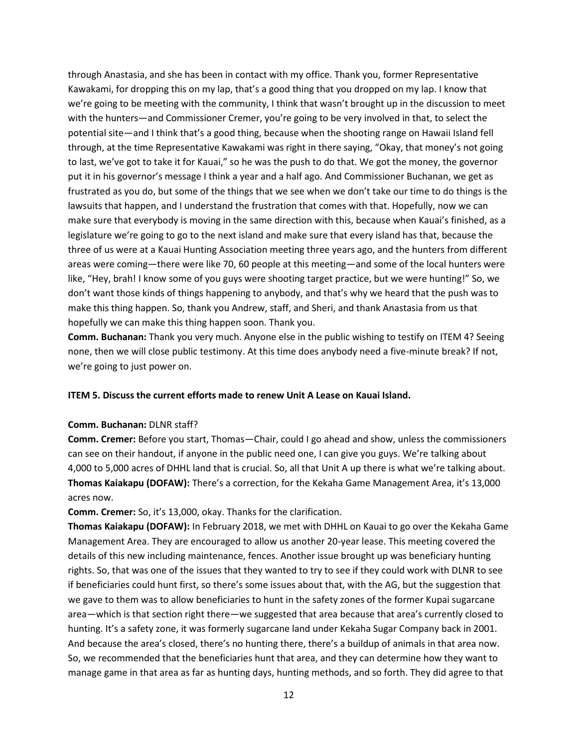through Anastasia, and she has been in contact with my office. Thank you, former Representative Kawakami, for dropping this on my lap, that's a good thing that you dropped on my lap. I know that we're going to be meeting with the community, I think that wasn't brought up in the discussion to meet with the hunters—and Commissioner Cremer, you're going to be very involved in that, to select the potential site—and I think that's a good thing, because when the shooting range on Hawaii Island fell through, at the time Representative Kawakami was right in there saying, "Okay, that money's not going to last, we've got to take it for Kauai," so he was the push to do that. We got the money, the governor put it in his governor's message I think a year and a half ago. And Commissioner Buchanan, we get as frustrated as you do, but some of the things that we see when we don't take our time to do things is the lawsuits that happen, and I understand the frustration that comes with that. Hopefully, now we can make sure that everybody is moving in the same direction with this, because when Kauai's finished, as a legislature we're going to go to the next island and make sure that every island has that, because the three of us were at a Kauai Hunting Association meeting three years ago, and the hunters from different areas were coming—there were like 70, 60 people at this meeting—and some of the local hunters were like, "Hey, brah! I know some of you guys were shooting target practice, but we were hunting!" So, we don't want those kinds of things happening to anybody, and that's why we heard that the push was to make this thing happen. So, thank you Andrew, staff, and Sheri, and thank Anastasia from us that hopefully we can make this thing happen soon. Thank you.

**Comm. Buchanan:** Thank you very much. Anyone else in the public wishing to testify on ITEM 4? Seeing none, then we will close public testimony. At this time does anybody need a five-minute break? If not, we're going to just power on.

### **ITEM 5. Discuss the current efforts made to renew Unit A Lease on Kauai Island.**

### **Comm. Buchanan:** DLNR staff?

**Comm. Cremer:** Before you start, Thomas—Chair, could I go ahead and show, unless the commissioners can see on their handout, if anyone in the public need one, I can give you guys. We're talking about 4,000 to 5,000 acres of DHHL land that is crucial. So, all that Unit A up there is what we're talking about. **Thomas Kaiakapu (DOFAW):** There's a correction, for the Kekaha Game Management Area, it's 13,000 acres now.

**Comm. Cremer:** So, it's 13,000, okay. Thanks for the clarification.

**Thomas Kaiakapu (DOFAW):** In February 2018, we met with DHHL on Kauai to go over the Kekaha Game Management Area. They are encouraged to allow us another 20-year lease. This meeting covered the details of this new including maintenance, fences. Another issue brought up was beneficiary hunting rights. So, that was one of the issues that they wanted to try to see if they could work with DLNR to see if beneficiaries could hunt first, so there's some issues about that, with the AG, but the suggestion that we gave to them was to allow beneficiaries to hunt in the safety zones of the former Kupai sugarcane area—which is that section right there—we suggested that area because that area's currently closed to hunting. It's a safety zone, it was formerly sugarcane land under Kekaha Sugar Company back in 2001. And because the area's closed, there's no hunting there, there's a buildup of animals in that area now. So, we recommended that the beneficiaries hunt that area, and they can determine how they want to manage game in that area as far as hunting days, hunting methods, and so forth. They did agree to that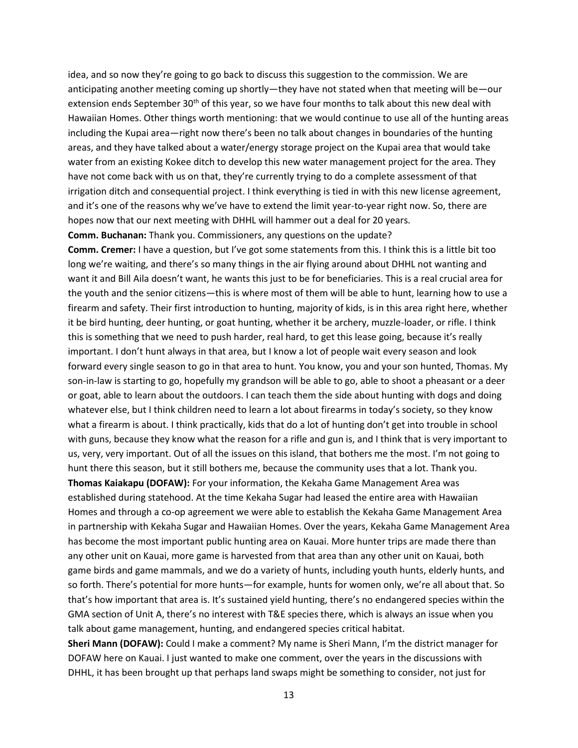idea, and so now they're going to go back to discuss this suggestion to the commission. We are anticipating another meeting coming up shortly—they have not stated when that meeting will be—our extension ends September 30<sup>th</sup> of this year, so we have four months to talk about this new deal with Hawaiian Homes. Other things worth mentioning: that we would continue to use all of the hunting areas including the Kupai area—right now there's been no talk about changes in boundaries of the hunting areas, and they have talked about a water/energy storage project on the Kupai area that would take water from an existing Kokee ditch to develop this new water management project for the area. They have not come back with us on that, they're currently trying to do a complete assessment of that irrigation ditch and consequential project. I think everything is tied in with this new license agreement, and it's one of the reasons why we've have to extend the limit year-to-year right now. So, there are hopes now that our next meeting with DHHL will hammer out a deal for 20 years.

**Comm. Buchanan:** Thank you. Commissioners, any questions on the update?

**Comm. Cremer:** I have a question, but I've got some statements from this. I think this is a little bit too long we're waiting, and there's so many things in the air flying around about DHHL not wanting and want it and Bill Aila doesn't want, he wants this just to be for beneficiaries. This is a real crucial area for the youth and the senior citizens—this is where most of them will be able to hunt, learning how to use a firearm and safety. Their first introduction to hunting, majority of kids, is in this area right here, whether it be bird hunting, deer hunting, or goat hunting, whether it be archery, muzzle-loader, or rifle. I think this is something that we need to push harder, real hard, to get this lease going, because it's really important. I don't hunt always in that area, but I know a lot of people wait every season and look forward every single season to go in that area to hunt. You know, you and your son hunted, Thomas. My son-in-law is starting to go, hopefully my grandson will be able to go, able to shoot a pheasant or a deer or goat, able to learn about the outdoors. I can teach them the side about hunting with dogs and doing whatever else, but I think children need to learn a lot about firearms in today's society, so they know what a firearm is about. I think practically, kids that do a lot of hunting don't get into trouble in school with guns, because they know what the reason for a rifle and gun is, and I think that is very important to us, very, very important. Out of all the issues on this island, that bothers me the most. I'm not going to hunt there this season, but it still bothers me, because the community uses that a lot. Thank you. **Thomas Kaiakapu (DOFAW):** For your information, the Kekaha Game Management Area was established during statehood. At the time Kekaha Sugar had leased the entire area with Hawaiian

Homes and through a co-op agreement we were able to establish the Kekaha Game Management Area in partnership with Kekaha Sugar and Hawaiian Homes. Over the years, Kekaha Game Management Area has become the most important public hunting area on Kauai. More hunter trips are made there than any other unit on Kauai, more game is harvested from that area than any other unit on Kauai, both game birds and game mammals, and we do a variety of hunts, including youth hunts, elderly hunts, and so forth. There's potential for more hunts—for example, hunts for women only, we're all about that. So that's how important that area is. It's sustained yield hunting, there's no endangered species within the GMA section of Unit A, there's no interest with T&E species there, which is always an issue when you talk about game management, hunting, and endangered species critical habitat.

**Sheri Mann (DOFAW):** Could I make a comment? My name is Sheri Mann, I'm the district manager for DOFAW here on Kauai. I just wanted to make one comment, over the years in the discussions with DHHL, it has been brought up that perhaps land swaps might be something to consider, not just for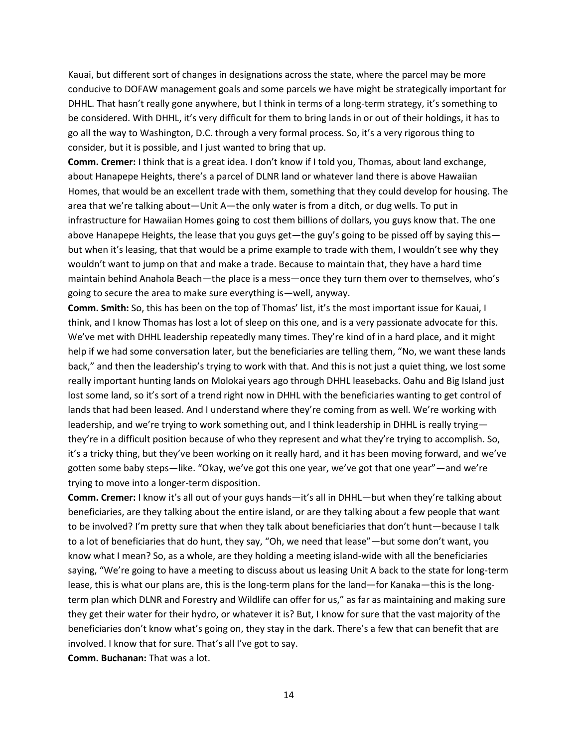Kauai, but different sort of changes in designations across the state, where the parcel may be more conducive to DOFAW management goals and some parcels we have might be strategically important for DHHL. That hasn't really gone anywhere, but I think in terms of a long-term strategy, it's something to be considered. With DHHL, it's very difficult for them to bring lands in or out of their holdings, it has to go all the way to Washington, D.C. through a very formal process. So, it's a very rigorous thing to consider, but it is possible, and I just wanted to bring that up.

**Comm. Cremer:** I think that is a great idea. I don't know if I told you, Thomas, about land exchange, about Hanapepe Heights, there's a parcel of DLNR land or whatever land there is above Hawaiian Homes, that would be an excellent trade with them, something that they could develop for housing. The area that we're talking about—Unit A—the only water is from a ditch, or dug wells. To put in infrastructure for Hawaiian Homes going to cost them billions of dollars, you guys know that. The one above Hanapepe Heights, the lease that you guys get—the guy's going to be pissed off by saying this but when it's leasing, that that would be a prime example to trade with them, I wouldn't see why they wouldn't want to jump on that and make a trade. Because to maintain that, they have a hard time maintain behind Anahola Beach—the place is a mess—once they turn them over to themselves, who's going to secure the area to make sure everything is—well, anyway.

**Comm. Smith:** So, this has been on the top of Thomas' list, it's the most important issue for Kauai, I think, and I know Thomas has lost a lot of sleep on this one, and is a very passionate advocate for this. We've met with DHHL leadership repeatedly many times. They're kind of in a hard place, and it might help if we had some conversation later, but the beneficiaries are telling them, "No, we want these lands back," and then the leadership's trying to work with that. And this is not just a quiet thing, we lost some really important hunting lands on Molokai years ago through DHHL leasebacks. Oahu and Big Island just lost some land, so it's sort of a trend right now in DHHL with the beneficiaries wanting to get control of lands that had been leased. And I understand where they're coming from as well. We're working with leadership, and we're trying to work something out, and I think leadership in DHHL is really trying they're in a difficult position because of who they represent and what they're trying to accomplish. So, it's a tricky thing, but they've been working on it really hard, and it has been moving forward, and we've gotten some baby steps—like. "Okay, we've got this one year, we've got that one year"—and we're trying to move into a longer-term disposition.

**Comm. Cremer:** I know it's all out of your guys hands—it's all in DHHL—but when they're talking about beneficiaries, are they talking about the entire island, or are they talking about a few people that want to be involved? I'm pretty sure that when they talk about beneficiaries that don't hunt—because I talk to a lot of beneficiaries that do hunt, they say, "Oh, we need that lease"—but some don't want, you know what I mean? So, as a whole, are they holding a meeting island-wide with all the beneficiaries saying, "We're going to have a meeting to discuss about us leasing Unit A back to the state for long-term lease, this is what our plans are, this is the long-term plans for the land—for Kanaka—this is the longterm plan which DLNR and Forestry and Wildlife can offer for us," as far as maintaining and making sure they get their water for their hydro, or whatever it is? But, I know for sure that the vast majority of the beneficiaries don't know what's going on, they stay in the dark. There's a few that can benefit that are involved. I know that for sure. That's all I've got to say.

**Comm. Buchanan:** That was a lot.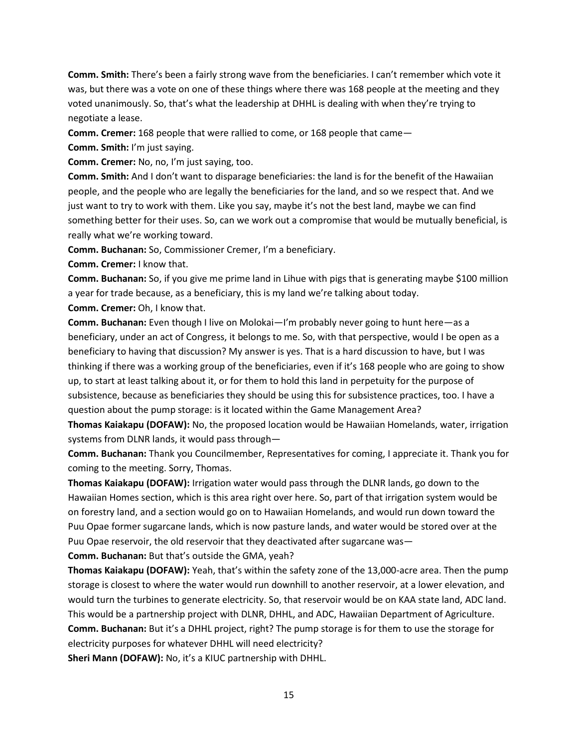**Comm. Smith:** There's been a fairly strong wave from the beneficiaries. I can't remember which vote it was, but there was a vote on one of these things where there was 168 people at the meeting and they voted unanimously. So, that's what the leadership at DHHL is dealing with when they're trying to negotiate a lease.

**Comm. Cremer:** 168 people that were rallied to come, or 168 people that came—

**Comm. Smith:** I'm just saying.

**Comm. Cremer:** No, no, I'm just saying, too.

**Comm. Smith:** And I don't want to disparage beneficiaries: the land is for the benefit of the Hawaiian people, and the people who are legally the beneficiaries for the land, and so we respect that. And we just want to try to work with them. Like you say, maybe it's not the best land, maybe we can find something better for their uses. So, can we work out a compromise that would be mutually beneficial, is really what we're working toward.

**Comm. Buchanan:** So, Commissioner Cremer, I'm a beneficiary.

**Comm. Cremer:** I know that.

**Comm. Buchanan:** So, if you give me prime land in Lihue with pigs that is generating maybe \$100 million a year for trade because, as a beneficiary, this is my land we're talking about today.

**Comm. Cremer:** Oh, I know that.

**Comm. Buchanan:** Even though I live on Molokai—I'm probably never going to hunt here—as a beneficiary, under an act of Congress, it belongs to me. So, with that perspective, would I be open as a beneficiary to having that discussion? My answer is yes. That is a hard discussion to have, but I was thinking if there was a working group of the beneficiaries, even if it's 168 people who are going to show up, to start at least talking about it, or for them to hold this land in perpetuity for the purpose of subsistence, because as beneficiaries they should be using this for subsistence practices, too. I have a question about the pump storage: is it located within the Game Management Area?

**Thomas Kaiakapu (DOFAW):** No, the proposed location would be Hawaiian Homelands, water, irrigation systems from DLNR lands, it would pass through—

**Comm. Buchanan:** Thank you Councilmember, Representatives for coming, I appreciate it. Thank you for coming to the meeting. Sorry, Thomas.

**Thomas Kaiakapu (DOFAW):** Irrigation water would pass through the DLNR lands, go down to the Hawaiian Homes section, which is this area right over here. So, part of that irrigation system would be on forestry land, and a section would go on to Hawaiian Homelands, and would run down toward the Puu Opae former sugarcane lands, which is now pasture lands, and water would be stored over at the Puu Opae reservoir, the old reservoir that they deactivated after sugarcane was—

**Comm. Buchanan:** But that's outside the GMA, yeah?

**Thomas Kaiakapu (DOFAW):** Yeah, that's within the safety zone of the 13,000-acre area. Then the pump storage is closest to where the water would run downhill to another reservoir, at a lower elevation, and would turn the turbines to generate electricity. So, that reservoir would be on KAA state land, ADC land. This would be a partnership project with DLNR, DHHL, and ADC, Hawaiian Department of Agriculture. **Comm. Buchanan:** But it's a DHHL project, right? The pump storage is for them to use the storage for electricity purposes for whatever DHHL will need electricity?

**Sheri Mann (DOFAW):** No, it's a KIUC partnership with DHHL.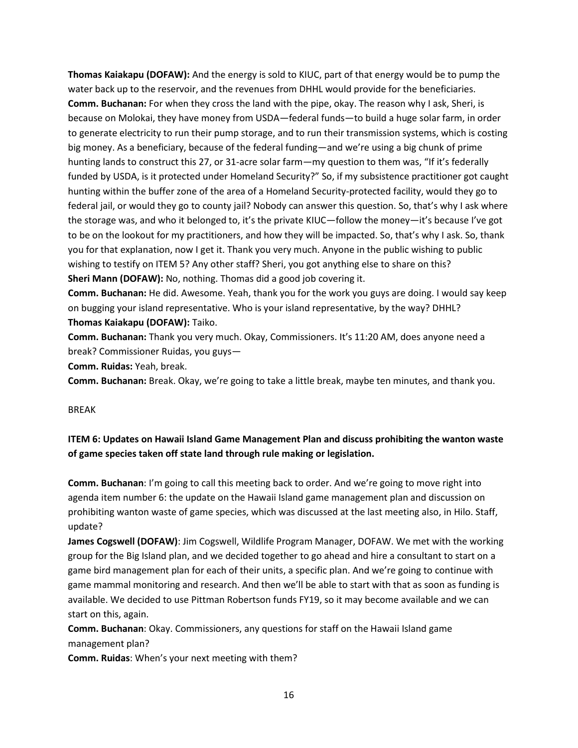**Thomas Kaiakapu (DOFAW):** And the energy is sold to KIUC, part of that energy would be to pump the water back up to the reservoir, and the revenues from DHHL would provide for the beneficiaries. **Comm. Buchanan:** For when they cross the land with the pipe, okay. The reason why I ask, Sheri, is because on Molokai, they have money from USDA—federal funds—to build a huge solar farm, in order to generate electricity to run their pump storage, and to run their transmission systems, which is costing big money. As a beneficiary, because of the federal funding—and we're using a big chunk of prime hunting lands to construct this 27, or 31-acre solar farm—my question to them was, "If it's federally funded by USDA, is it protected under Homeland Security?" So, if my subsistence practitioner got caught hunting within the buffer zone of the area of a Homeland Security-protected facility, would they go to federal jail, or would they go to county jail? Nobody can answer this question. So, that's why I ask where the storage was, and who it belonged to, it's the private KIUC—follow the money—it's because I've got to be on the lookout for my practitioners, and how they will be impacted. So, that's why I ask. So, thank you for that explanation, now I get it. Thank you very much. Anyone in the public wishing to public wishing to testify on ITEM 5? Any other staff? Sheri, you got anything else to share on this? **Sheri Mann (DOFAW):** No, nothing. Thomas did a good job covering it.

**Comm. Buchanan:** He did. Awesome. Yeah, thank you for the work you guys are doing. I would say keep on bugging your island representative. Who is your island representative, by the way? DHHL? **Thomas Kaiakapu (DOFAW):** Taiko.

**Comm. Buchanan:** Thank you very much. Okay, Commissioners. It's 11:20 AM, does anyone need a break? Commissioner Ruidas, you guys—

**Comm. Ruidas:** Yeah, break.

**Comm. Buchanan:** Break. Okay, we're going to take a little break, maybe ten minutes, and thank you.

### BREAK

# **ITEM 6: Updates on Hawaii Island Game Management Plan and discuss prohibiting the wanton waste of game species taken off state land through rule making or legislation.**

**Comm. Buchanan**: I'm going to call this meeting back to order. And we're going to move right into agenda item number 6: the update on the Hawaii Island game management plan and discussion on prohibiting wanton waste of game species, which was discussed at the last meeting also, in Hilo. Staff, update?

**James Cogswell (DOFAW)**: Jim Cogswell, Wildlife Program Manager, DOFAW. We met with the working group for the Big Island plan, and we decided together to go ahead and hire a consultant to start on a game bird management plan for each of their units, a specific plan. And we're going to continue with game mammal monitoring and research. And then we'll be able to start with that as soon as funding is available. We decided to use Pittman Robertson funds FY19, so it may become available and we can start on this, again.

**Comm. Buchanan**: Okay. Commissioners, any questions for staff on the Hawaii Island game management plan?

**Comm. Ruidas**: When's your next meeting with them?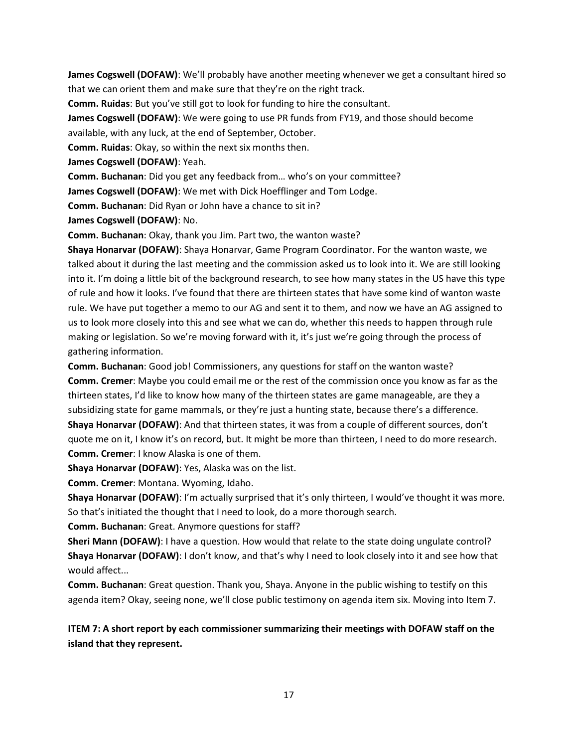**James Cogswell (DOFAW)**: We'll probably have another meeting whenever we get a consultant hired so that we can orient them and make sure that they're on the right track.

**Comm. Ruidas**: But you've still got to look for funding to hire the consultant.

**James Cogswell (DOFAW)**: We were going to use PR funds from FY19, and those should become available, with any luck, at the end of September, October.

**Comm. Ruidas**: Okay, so within the next six months then.

**James Cogswell (DOFAW)**: Yeah.

**Comm. Buchanan**: Did you get any feedback from… who's on your committee?

**James Cogswell (DOFAW)**: We met with Dick Hoefflinger and Tom Lodge.

**Comm. Buchanan**: Did Ryan or John have a chance to sit in?

**James Cogswell (DOFAW)**: No.

**Comm. Buchanan**: Okay, thank you Jim. Part two, the wanton waste?

**Shaya Honarvar (DOFAW)**: Shaya Honarvar, Game Program Coordinator. For the wanton waste, we talked about it during the last meeting and the commission asked us to look into it. We are still looking into it. I'm doing a little bit of the background research, to see how many states in the US have this type of rule and how it looks. I've found that there are thirteen states that have some kind of wanton waste rule. We have put together a memo to our AG and sent it to them, and now we have an AG assigned to us to look more closely into this and see what we can do, whether this needs to happen through rule making or legislation. So we're moving forward with it, it's just we're going through the process of gathering information.

**Comm. Buchanan**: Good job! Commissioners, any questions for staff on the wanton waste? **Comm. Cremer**: Maybe you could email me or the rest of the commission once you know as far as the thirteen states, I'd like to know how many of the thirteen states are game manageable, are they a subsidizing state for game mammals, or they're just a hunting state, because there's a difference. **Shaya Honarvar (DOFAW)**: And that thirteen states, it was from a couple of different sources, don't quote me on it, I know it's on record, but. It might be more than thirteen, I need to do more research. **Comm. Cremer**: I know Alaska is one of them.

**Shaya Honarvar (DOFAW)**: Yes, Alaska was on the list.

**Comm. Cremer**: Montana. Wyoming, Idaho.

**Shaya Honarvar (DOFAW)**: I'm actually surprised that it's only thirteen, I would've thought it was more. So that's initiated the thought that I need to look, do a more thorough search.

**Comm. Buchanan**: Great. Anymore questions for staff?

**Sheri Mann (DOFAW)**: I have a question. How would that relate to the state doing ungulate control? **Shaya Honarvar (DOFAW)**: I don't know, and that's why I need to look closely into it and see how that would affect...

**Comm. Buchanan**: Great question. Thank you, Shaya. Anyone in the public wishing to testify on this agenda item? Okay, seeing none, we'll close public testimony on agenda item six. Moving into Item 7.

**ITEM 7: A short report by each commissioner summarizing their meetings with DOFAW staff on the island that they represent.**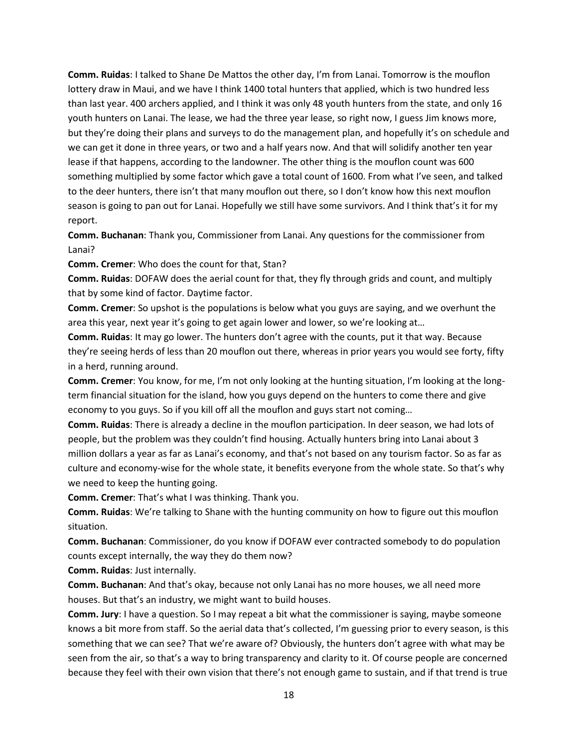**Comm. Ruidas**: I talked to Shane De Mattos the other day, I'm from Lanai. Tomorrow is the mouflon lottery draw in Maui, and we have I think 1400 total hunters that applied, which is two hundred less than last year. 400 archers applied, and I think it was only 48 youth hunters from the state, and only 16 youth hunters on Lanai. The lease, we had the three year lease, so right now, I guess Jim knows more, but they're doing their plans and surveys to do the management plan, and hopefully it's on schedule and we can get it done in three years, or two and a half years now. And that will solidify another ten year lease if that happens, according to the landowner. The other thing is the mouflon count was 600 something multiplied by some factor which gave a total count of 1600. From what I've seen, and talked to the deer hunters, there isn't that many mouflon out there, so I don't know how this next mouflon season is going to pan out for Lanai. Hopefully we still have some survivors. And I think that's it for my report.

**Comm. Buchanan**: Thank you, Commissioner from Lanai. Any questions for the commissioner from Lanai?

**Comm. Cremer**: Who does the count for that, Stan?

**Comm. Ruidas**: DOFAW does the aerial count for that, they fly through grids and count, and multiply that by some kind of factor. Daytime factor.

**Comm. Cremer**: So upshot is the populations is below what you guys are saying, and we overhunt the area this year, next year it's going to get again lower and lower, so we're looking at…

**Comm. Ruidas**: It may go lower. The hunters don't agree with the counts, put it that way. Because they're seeing herds of less than 20 mouflon out there, whereas in prior years you would see forty, fifty in a herd, running around.

**Comm. Cremer**: You know, for me, I'm not only looking at the hunting situation, I'm looking at the longterm financial situation for the island, how you guys depend on the hunters to come there and give economy to you guys. So if you kill off all the mouflon and guys start not coming…

**Comm. Ruidas**: There is already a decline in the mouflon participation. In deer season, we had lots of people, but the problem was they couldn't find housing. Actually hunters bring into Lanai about 3 million dollars a year as far as Lanai's economy, and that's not based on any tourism factor. So as far as culture and economy-wise for the whole state, it benefits everyone from the whole state. So that's why we need to keep the hunting going.

**Comm. Cremer**: That's what I was thinking. Thank you.

**Comm. Ruidas**: We're talking to Shane with the hunting community on how to figure out this mouflon situation.

**Comm. Buchanan**: Commissioner, do you know if DOFAW ever contracted somebody to do population counts except internally, the way they do them now?

**Comm. Ruidas**: Just internally.

**Comm. Buchanan**: And that's okay, because not only Lanai has no more houses, we all need more houses. But that's an industry, we might want to build houses.

**Comm. Jury**: I have a question. So I may repeat a bit what the commissioner is saying, maybe someone knows a bit more from staff. So the aerial data that's collected, I'm guessing prior to every season, is this something that we can see? That we're aware of? Obviously, the hunters don't agree with what may be seen from the air, so that's a way to bring transparency and clarity to it. Of course people are concerned because they feel with their own vision that there's not enough game to sustain, and if that trend is true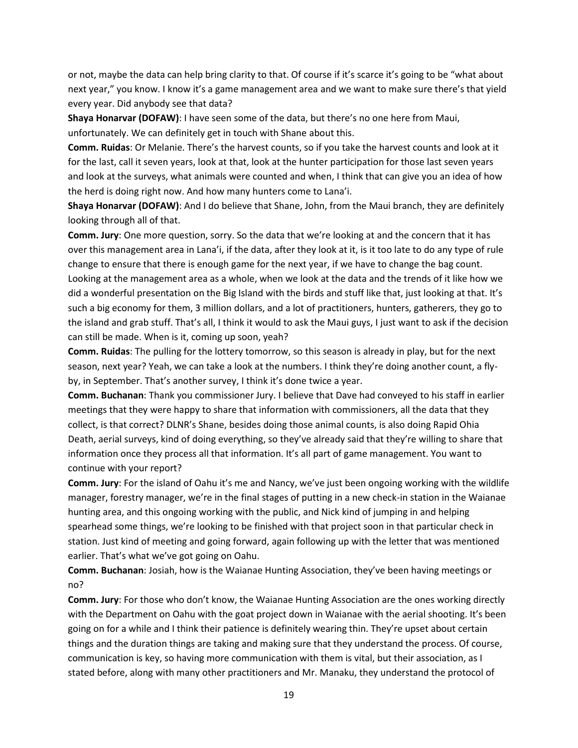or not, maybe the data can help bring clarity to that. Of course if it's scarce it's going to be "what about next year," you know. I know it's a game management area and we want to make sure there's that yield every year. Did anybody see that data?

**Shaya Honarvar (DOFAW)**: I have seen some of the data, but there's no one here from Maui, unfortunately. We can definitely get in touch with Shane about this.

**Comm. Ruidas**: Or Melanie. There's the harvest counts, so if you take the harvest counts and look at it for the last, call it seven years, look at that, look at the hunter participation for those last seven years and look at the surveys, what animals were counted and when, I think that can give you an idea of how the herd is doing right now. And how many hunters come to Lana'i.

**Shaya Honarvar (DOFAW)**: And I do believe that Shane, John, from the Maui branch, they are definitely looking through all of that.

**Comm. Jury**: One more question, sorry. So the data that we're looking at and the concern that it has over this management area in Lana'i, if the data, after they look at it, is it too late to do any type of rule change to ensure that there is enough game for the next year, if we have to change the bag count. Looking at the management area as a whole, when we look at the data and the trends of it like how we did a wonderful presentation on the Big Island with the birds and stuff like that, just looking at that. It's such a big economy for them, 3 million dollars, and a lot of practitioners, hunters, gatherers, they go to the island and grab stuff. That's all, I think it would to ask the Maui guys, I just want to ask if the decision can still be made. When is it, coming up soon, yeah?

**Comm. Ruidas**: The pulling for the lottery tomorrow, so this season is already in play, but for the next season, next year? Yeah, we can take a look at the numbers. I think they're doing another count, a flyby, in September. That's another survey, I think it's done twice a year.

**Comm. Buchanan**: Thank you commissioner Jury. I believe that Dave had conveyed to his staff in earlier meetings that they were happy to share that information with commissioners, all the data that they collect, is that correct? DLNR's Shane, besides doing those animal counts, is also doing Rapid Ohia Death, aerial surveys, kind of doing everything, so they've already said that they're willing to share that information once they process all that information. It's all part of game management. You want to continue with your report?

**Comm. Jury**: For the island of Oahu it's me and Nancy, we've just been ongoing working with the wildlife manager, forestry manager, we're in the final stages of putting in a new check-in station in the Waianae hunting area, and this ongoing working with the public, and Nick kind of jumping in and helping spearhead some things, we're looking to be finished with that project soon in that particular check in station. Just kind of meeting and going forward, again following up with the letter that was mentioned earlier. That's what we've got going on Oahu.

**Comm. Buchanan**: Josiah, how is the Waianae Hunting Association, they've been having meetings or no?

**Comm. Jury**: For those who don't know, the Waianae Hunting Association are the ones working directly with the Department on Oahu with the goat project down in Waianae with the aerial shooting. It's been going on for a while and I think their patience is definitely wearing thin. They're upset about certain things and the duration things are taking and making sure that they understand the process. Of course, communication is key, so having more communication with them is vital, but their association, as I stated before, along with many other practitioners and Mr. Manaku, they understand the protocol of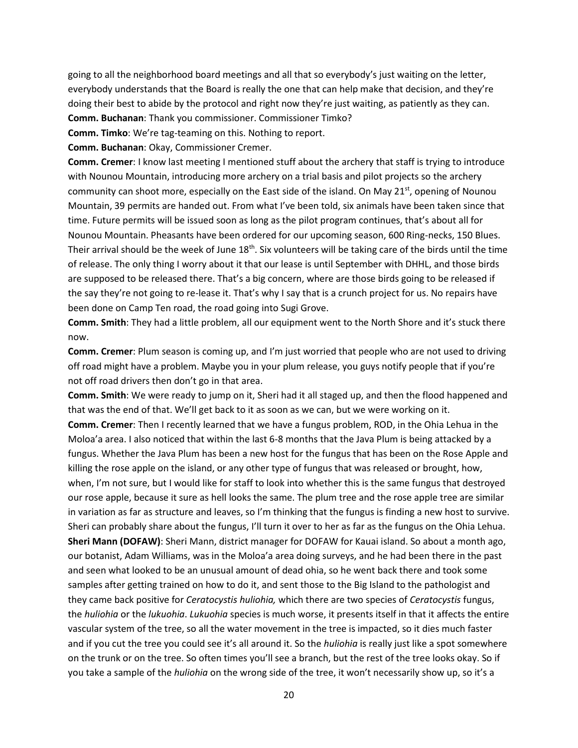going to all the neighborhood board meetings and all that so everybody's just waiting on the letter, everybody understands that the Board is really the one that can help make that decision, and they're doing their best to abide by the protocol and right now they're just waiting, as patiently as they can.

**Comm. Buchanan**: Thank you commissioner. Commissioner Timko?

**Comm. Timko**: We're tag-teaming on this. Nothing to report.

**Comm. Buchanan**: Okay, Commissioner Cremer.

**Comm. Cremer**: I know last meeting I mentioned stuff about the archery that staff is trying to introduce with Nounou Mountain, introducing more archery on a trial basis and pilot projects so the archery community can shoot more, especially on the East side of the island. On May 21<sup>st</sup>, opening of Nounou Mountain, 39 permits are handed out. From what I've been told, six animals have been taken since that time. Future permits will be issued soon as long as the pilot program continues, that's about all for Nounou Mountain. Pheasants have been ordered for our upcoming season, 600 Ring-necks, 150 Blues. Their arrival should be the week of June 18<sup>th</sup>. Six volunteers will be taking care of the birds until the time of release. The only thing I worry about it that our lease is until September with DHHL, and those birds are supposed to be released there. That's a big concern, where are those birds going to be released if the say they're not going to re-lease it. That's why I say that is a crunch project for us. No repairs have been done on Camp Ten road, the road going into Sugi Grove.

**Comm. Smith**: They had a little problem, all our equipment went to the North Shore and it's stuck there now.

**Comm. Cremer**: Plum season is coming up, and I'm just worried that people who are not used to driving off road might have a problem. Maybe you in your plum release, you guys notify people that if you're not off road drivers then don't go in that area.

**Comm. Smith**: We were ready to jump on it, Sheri had it all staged up, and then the flood happened and that was the end of that. We'll get back to it as soon as we can, but we were working on it. **Comm. Cremer**: Then I recently learned that we have a fungus problem, ROD, in the Ohia Lehua in the Moloa'a area. I also noticed that within the last 6-8 months that the Java Plum is being attacked by a fungus. Whether the Java Plum has been a new host for the fungus that has been on the Rose Apple and killing the rose apple on the island, or any other type of fungus that was released or brought, how, when, I'm not sure, but I would like for staff to look into whether this is the same fungus that destroyed our rose apple, because it sure as hell looks the same. The plum tree and the rose apple tree are similar in variation as far as structure and leaves, so I'm thinking that the fungus is finding a new host to survive. Sheri can probably share about the fungus, I'll turn it over to her as far as the fungus on the Ohia Lehua. **Sheri Mann (DOFAW)**: Sheri Mann, district manager for DOFAW for Kauai island. So about a month ago, our botanist, Adam Williams, was in the Moloa'a area doing surveys, and he had been there in the past and seen what looked to be an unusual amount of dead ohia, so he went back there and took some samples after getting trained on how to do it, and sent those to the Big Island to the pathologist and they came back positive for *Ceratocystis huliohia,* which there are two species of *Ceratocystis* fungus, the *huliohia* or the *lukuohia*. *Lukuohia* species is much worse, it presents itself in that it affects the entire vascular system of the tree, so all the water movement in the tree is impacted, so it dies much faster and if you cut the tree you could see it's all around it. So the *huliohia* is really just like a spot somewhere on the trunk or on the tree. So often times you'll see a branch, but the rest of the tree looks okay. So if you take a sample of the *huliohia* on the wrong side of the tree, it won't necessarily show up, so it's a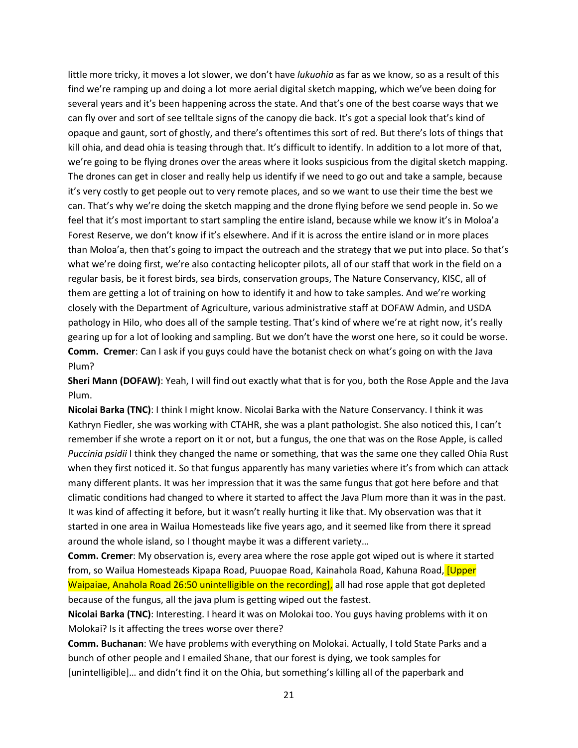little more tricky, it moves a lot slower, we don't have *lukuohia* as far as we know, so as a result of this find we're ramping up and doing a lot more aerial digital sketch mapping, which we've been doing for several years and it's been happening across the state. And that's one of the best coarse ways that we can fly over and sort of see telltale signs of the canopy die back. It's got a special look that's kind of opaque and gaunt, sort of ghostly, and there's oftentimes this sort of red. But there's lots of things that kill ohia, and dead ohia is teasing through that. It's difficult to identify. In addition to a lot more of that, we're going to be flying drones over the areas where it looks suspicious from the digital sketch mapping. The drones can get in closer and really help us identify if we need to go out and take a sample, because it's very costly to get people out to very remote places, and so we want to use their time the best we can. That's why we're doing the sketch mapping and the drone flying before we send people in. So we feel that it's most important to start sampling the entire island, because while we know it's in Moloa'a Forest Reserve, we don't know if it's elsewhere. And if it is across the entire island or in more places than Moloa'a, then that's going to impact the outreach and the strategy that we put into place. So that's what we're doing first, we're also contacting helicopter pilots, all of our staff that work in the field on a regular basis, be it forest birds, sea birds, conservation groups, The Nature Conservancy, KISC, all of them are getting a lot of training on how to identify it and how to take samples. And we're working closely with the Department of Agriculture, various administrative staff at DOFAW Admin, and USDA pathology in Hilo, who does all of the sample testing. That's kind of where we're at right now, it's really gearing up for a lot of looking and sampling. But we don't have the worst one here, so it could be worse. **Comm. Cremer**: Can I ask if you guys could have the botanist check on what's going on with the Java Plum?

**Sheri Mann (DOFAW)**: Yeah, I will find out exactly what that is for you, both the Rose Apple and the Java Plum.

**Nicolai Barka (TNC)**: I think I might know. Nicolai Barka with the Nature Conservancy. I think it was Kathryn Fiedler, she was working with CTAHR, she was a plant pathologist. She also noticed this, I can't remember if she wrote a report on it or not, but a fungus, the one that was on the Rose Apple, is called *Puccinia psidii* I think they changed the name or something, that was the same one they called Ohia Rust when they first noticed it. So that fungus apparently has many varieties where it's from which can attack many different plants. It was her impression that it was the same fungus that got here before and that climatic conditions had changed to where it started to affect the Java Plum more than it was in the past. It was kind of affecting it before, but it wasn't really hurting it like that. My observation was that it started in one area in Wailua Homesteads like five years ago, and it seemed like from there it spread around the whole island, so I thought maybe it was a different variety…

**Comm. Cremer**: My observation is, every area where the rose apple got wiped out is where it started from, so Wailua Homesteads Kipapa Road, Puuopae Road, Kainahola Road, Kahuna Road, *[Upper* Waipaiae, Anahola Road 26:50 unintelligible on the recording], all had rose apple that got depleted because of the fungus, all the java plum is getting wiped out the fastest.

**Nicolai Barka (TNC)**: Interesting. I heard it was on Molokai too. You guys having problems with it on Molokai? Is it affecting the trees worse over there?

**Comm. Buchanan**: We have problems with everything on Molokai. Actually, I told State Parks and a bunch of other people and I emailed Shane, that our forest is dying, we took samples for [unintelligible]… and didn't find it on the Ohia, but something's killing all of the paperbark and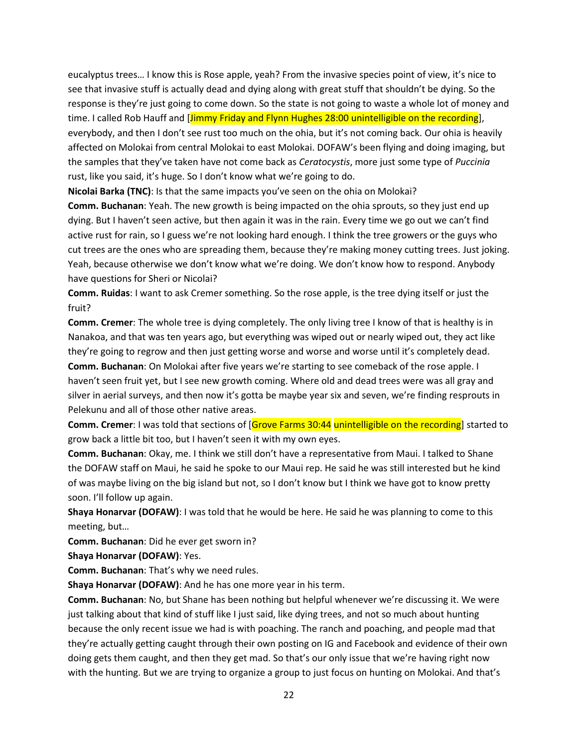eucalyptus trees… I know this is Rose apple, yeah? From the invasive species point of view, it's nice to see that invasive stuff is actually dead and dying along with great stuff that shouldn't be dying. So the response is they're just going to come down. So the state is not going to waste a whole lot of money and time. I called Rob Hauff and [Jimmy Friday and Flynn Hughes 28:00 unintelligible on the recording], everybody, and then I don't see rust too much on the ohia, but it's not coming back. Our ohia is heavily affected on Molokai from central Molokai to east Molokai. DOFAW's been flying and doing imaging, but the samples that they've taken have not come back as *Ceratocystis*, more just some type of *Puccinia*  rust, like you said, it's huge. So I don't know what we're going to do.

**Nicolai Barka (TNC)**: Is that the same impacts you've seen on the ohia on Molokai?

**Comm. Buchanan**: Yeah. The new growth is being impacted on the ohia sprouts, so they just end up dying. But I haven't seen active, but then again it was in the rain. Every time we go out we can't find active rust for rain, so I guess we're not looking hard enough. I think the tree growers or the guys who cut trees are the ones who are spreading them, because they're making money cutting trees. Just joking. Yeah, because otherwise we don't know what we're doing. We don't know how to respond. Anybody have questions for Sheri or Nicolai?

**Comm. Ruidas**: I want to ask Cremer something. So the rose apple, is the tree dying itself or just the fruit?

**Comm. Cremer**: The whole tree is dying completely. The only living tree I know of that is healthy is in Nanakoa, and that was ten years ago, but everything was wiped out or nearly wiped out, they act like they're going to regrow and then just getting worse and worse and worse until it's completely dead.

**Comm. Buchanan**: On Molokai after five years we're starting to see comeback of the rose apple. I haven't seen fruit yet, but I see new growth coming. Where old and dead trees were was all gray and silver in aerial surveys, and then now it's gotta be maybe year six and seven, we're finding resprouts in Pelekunu and all of those other native areas.

**Comm. Cremer:** I was told that sections of [Grove Farms 30:44 unintelligible on the recording] started to grow back a little bit too, but I haven't seen it with my own eyes.

**Comm. Buchanan**: Okay, me. I think we still don't have a representative from Maui. I talked to Shane the DOFAW staff on Maui, he said he spoke to our Maui rep. He said he was still interested but he kind of was maybe living on the big island but not, so I don't know but I think we have got to know pretty soon. I'll follow up again.

**Shaya Honarvar (DOFAW)**: I was told that he would be here. He said he was planning to come to this meeting, but…

**Comm. Buchanan**: Did he ever get sworn in?

**Shaya Honarvar (DOFAW)**: Yes.

**Comm. Buchanan**: That's why we need rules.

**Shaya Honarvar (DOFAW)**: And he has one more year in his term.

**Comm. Buchanan**: No, but Shane has been nothing but helpful whenever we're discussing it. We were just talking about that kind of stuff like I just said, like dying trees, and not so much about hunting because the only recent issue we had is with poaching. The ranch and poaching, and people mad that they're actually getting caught through their own posting on IG and Facebook and evidence of their own doing gets them caught, and then they get mad. So that's our only issue that we're having right now with the hunting. But we are trying to organize a group to just focus on hunting on Molokai. And that's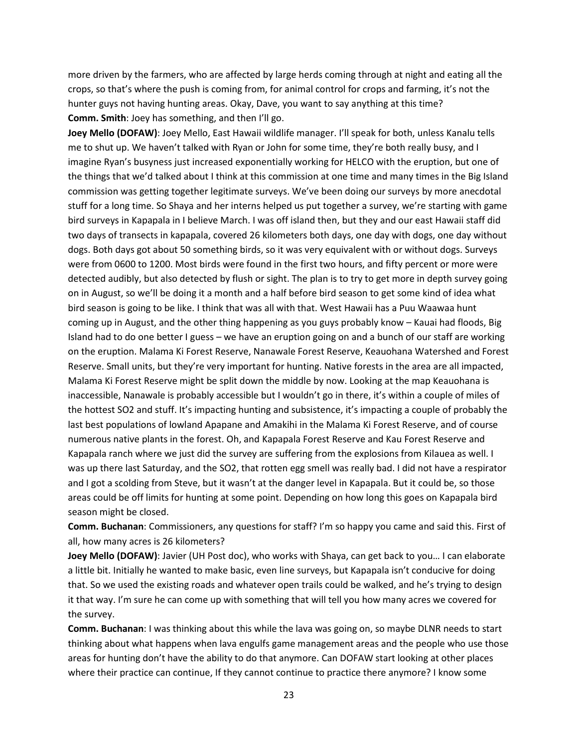more driven by the farmers, who are affected by large herds coming through at night and eating all the crops, so that's where the push is coming from, for animal control for crops and farming, it's not the hunter guys not having hunting areas. Okay, Dave, you want to say anything at this time? **Comm. Smith**: Joey has something, and then I'll go.

**Joey Mello (DOFAW)**: Joey Mello, East Hawaii wildlife manager. I'll speak for both, unless Kanalu tells me to shut up. We haven't talked with Ryan or John for some time, they're both really busy, and I imagine Ryan's busyness just increased exponentially working for HELCO with the eruption, but one of the things that we'd talked about I think at this commission at one time and many times in the Big Island commission was getting together legitimate surveys. We've been doing our surveys by more anecdotal stuff for a long time. So Shaya and her interns helped us put together a survey, we're starting with game bird surveys in Kapapala in I believe March. I was off island then, but they and our east Hawaii staff did two days of transects in kapapala, covered 26 kilometers both days, one day with dogs, one day without dogs. Both days got about 50 something birds, so it was very equivalent with or without dogs. Surveys were from 0600 to 1200. Most birds were found in the first two hours, and fifty percent or more were detected audibly, but also detected by flush or sight. The plan is to try to get more in depth survey going on in August, so we'll be doing it a month and a half before bird season to get some kind of idea what bird season is going to be like. I think that was all with that. West Hawaii has a Puu Waawaa hunt coming up in August, and the other thing happening as you guys probably know – Kauai had floods, Big Island had to do one better I guess – we have an eruption going on and a bunch of our staff are working on the eruption. Malama Ki Forest Reserve, Nanawale Forest Reserve, Keauohana Watershed and Forest Reserve. Small units, but they're very important for hunting. Native forests in the area are all impacted, Malama Ki Forest Reserve might be split down the middle by now. Looking at the map Keauohana is inaccessible, Nanawale is probably accessible but I wouldn't go in there, it's within a couple of miles of the hottest SO2 and stuff. It's impacting hunting and subsistence, it's impacting a couple of probably the last best populations of lowland Apapane and Amakihi in the Malama Ki Forest Reserve, and of course numerous native plants in the forest. Oh, and Kapapala Forest Reserve and Kau Forest Reserve and Kapapala ranch where we just did the survey are suffering from the explosions from Kilauea as well. I was up there last Saturday, and the SO2, that rotten egg smell was really bad. I did not have a respirator and I got a scolding from Steve, but it wasn't at the danger level in Kapapala. But it could be, so those areas could be off limits for hunting at some point. Depending on how long this goes on Kapapala bird season might be closed.

**Comm. Buchanan**: Commissioners, any questions for staff? I'm so happy you came and said this. First of all, how many acres is 26 kilometers?

**Joey Mello (DOFAW)**: Javier (UH Post doc), who works with Shaya, can get back to you… I can elaborate a little bit. Initially he wanted to make basic, even line surveys, but Kapapala isn't conducive for doing that. So we used the existing roads and whatever open trails could be walked, and he's trying to design it that way. I'm sure he can come up with something that will tell you how many acres we covered for the survey.

**Comm. Buchanan**: I was thinking about this while the lava was going on, so maybe DLNR needs to start thinking about what happens when lava engulfs game management areas and the people who use those areas for hunting don't have the ability to do that anymore. Can DOFAW start looking at other places where their practice can continue, If they cannot continue to practice there anymore? I know some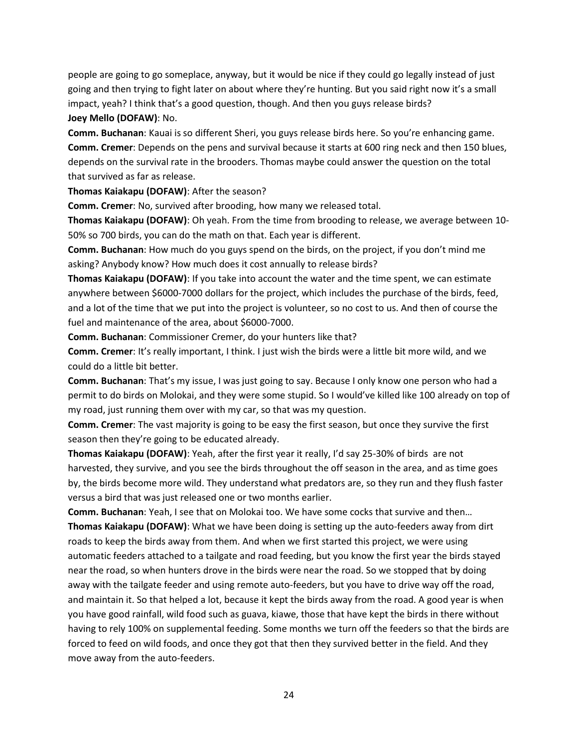people are going to go someplace, anyway, but it would be nice if they could go legally instead of just going and then trying to fight later on about where they're hunting. But you said right now it's a small impact, yeah? I think that's a good question, though. And then you guys release birds? **Joey Mello (DOFAW)**: No.

**Comm. Buchanan**: Kauai is so different Sheri, you guys release birds here. So you're enhancing game. **Comm. Cremer**: Depends on the pens and survival because it starts at 600 ring neck and then 150 blues, depends on the survival rate in the brooders. Thomas maybe could answer the question on the total that survived as far as release.

**Thomas Kaiakapu (DOFAW)**: After the season?

**Comm. Cremer**: No, survived after brooding, how many we released total.

**Thomas Kaiakapu (DOFAW)**: Oh yeah. From the time from brooding to release, we average between 10- 50% so 700 birds, you can do the math on that. Each year is different.

**Comm. Buchanan**: How much do you guys spend on the birds, on the project, if you don't mind me asking? Anybody know? How much does it cost annually to release birds?

**Thomas Kaiakapu (DOFAW)**: If you take into account the water and the time spent, we can estimate anywhere between \$6000-7000 dollars for the project, which includes the purchase of the birds, feed, and a lot of the time that we put into the project is volunteer, so no cost to us. And then of course the fuel and maintenance of the area, about \$6000-7000.

**Comm. Buchanan**: Commissioner Cremer, do your hunters like that?

**Comm. Cremer**: It's really important, I think. I just wish the birds were a little bit more wild, and we could do a little bit better.

**Comm. Buchanan**: That's my issue, I was just going to say. Because I only know one person who had a permit to do birds on Molokai, and they were some stupid. So I would've killed like 100 already on top of my road, just running them over with my car, so that was my question.

**Comm. Cremer**: The vast majority is going to be easy the first season, but once they survive the first season then they're going to be educated already.

**Thomas Kaiakapu (DOFAW)**: Yeah, after the first year it really, I'd say 25-30% of birds are not harvested, they survive, and you see the birds throughout the off season in the area, and as time goes by, the birds become more wild. They understand what predators are, so they run and they flush faster versus a bird that was just released one or two months earlier.

**Comm. Buchanan**: Yeah, I see that on Molokai too. We have some cocks that survive and then… **Thomas Kaiakapu (DOFAW)**: What we have been doing is setting up the auto-feeders away from dirt roads to keep the birds away from them. And when we first started this project, we were using automatic feeders attached to a tailgate and road feeding, but you know the first year the birds stayed near the road, so when hunters drove in the birds were near the road. So we stopped that by doing away with the tailgate feeder and using remote auto-feeders, but you have to drive way off the road, and maintain it. So that helped a lot, because it kept the birds away from the road. A good year is when you have good rainfall, wild food such as guava, kiawe, those that have kept the birds in there without having to rely 100% on supplemental feeding. Some months we turn off the feeders so that the birds are forced to feed on wild foods, and once they got that then they survived better in the field. And they move away from the auto-feeders.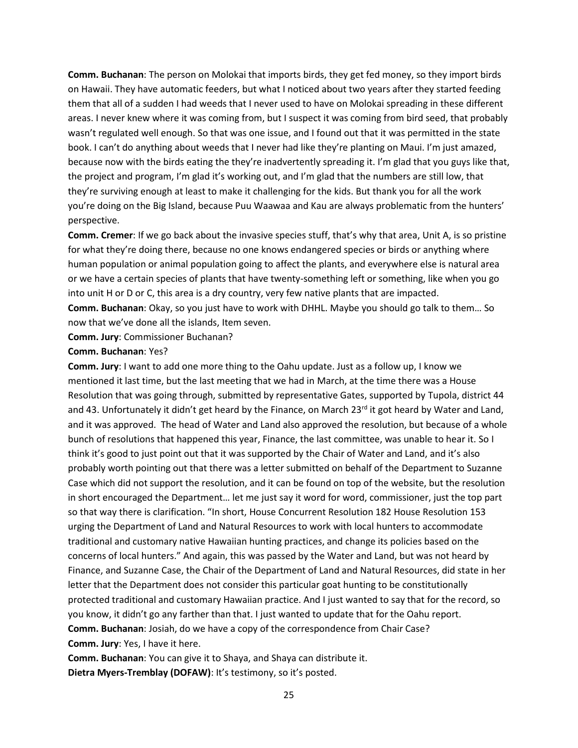**Comm. Buchanan**: The person on Molokai that imports birds, they get fed money, so they import birds on Hawaii. They have automatic feeders, but what I noticed about two years after they started feeding them that all of a sudden I had weeds that I never used to have on Molokai spreading in these different areas. I never knew where it was coming from, but I suspect it was coming from bird seed, that probably wasn't regulated well enough. So that was one issue, and I found out that it was permitted in the state book. I can't do anything about weeds that I never had like they're planting on Maui. I'm just amazed, because now with the birds eating the they're inadvertently spreading it. I'm glad that you guys like that, the project and program, I'm glad it's working out, and I'm glad that the numbers are still low, that they're surviving enough at least to make it challenging for the kids. But thank you for all the work you're doing on the Big Island, because Puu Waawaa and Kau are always problematic from the hunters' perspective.

**Comm. Cremer**: If we go back about the invasive species stuff, that's why that area, Unit A, is so pristine for what they're doing there, because no one knows endangered species or birds or anything where human population or animal population going to affect the plants, and everywhere else is natural area or we have a certain species of plants that have twenty-something left or something, like when you go into unit H or D or C, this area is a dry country, very few native plants that are impacted.

**Comm. Buchanan**: Okay, so you just have to work with DHHL. Maybe you should go talk to them… So now that we've done all the islands, Item seven.

**Comm. Jury**: Commissioner Buchanan?

#### **Comm. Buchanan**: Yes?

**Comm. Jury**: I want to add one more thing to the Oahu update. Just as a follow up, I know we mentioned it last time, but the last meeting that we had in March, at the time there was a House Resolution that was going through, submitted by representative Gates, supported by Tupola, district 44 and 43. Unfortunately it didn't get heard by the Finance, on March 23rd it got heard by Water and Land, and it was approved. The head of Water and Land also approved the resolution, but because of a whole bunch of resolutions that happened this year, Finance, the last committee, was unable to hear it. So I think it's good to just point out that it was supported by the Chair of Water and Land, and it's also probably worth pointing out that there was a letter submitted on behalf of the Department to Suzanne Case which did not support the resolution, and it can be found on top of the website, but the resolution in short encouraged the Department… let me just say it word for word, commissioner, just the top part so that way there is clarification. "In short, House Concurrent Resolution 182 House Resolution 153 urging the Department of Land and Natural Resources to work with local hunters to accommodate traditional and customary native Hawaiian hunting practices, and change its policies based on the concerns of local hunters." And again, this was passed by the Water and Land, but was not heard by Finance, and Suzanne Case, the Chair of the Department of Land and Natural Resources, did state in her letter that the Department does not consider this particular goat hunting to be constitutionally protected traditional and customary Hawaiian practice. And I just wanted to say that for the record, so you know, it didn't go any farther than that. I just wanted to update that for the Oahu report. **Comm. Buchanan**: Josiah, do we have a copy of the correspondence from Chair Case? **Comm. Jury**: Yes, I have it here.

**Comm. Buchanan**: You can give it to Shaya, and Shaya can distribute it. **Dietra Myers-Tremblay (DOFAW)**: It's testimony, so it's posted.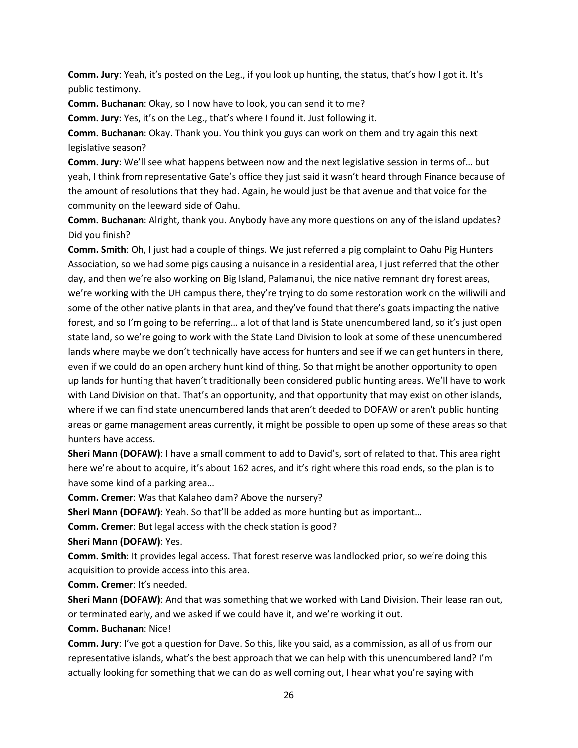**Comm. Jury**: Yeah, it's posted on the Leg., if you look up hunting, the status, that's how I got it. It's public testimony.

**Comm. Buchanan**: Okay, so I now have to look, you can send it to me?

**Comm. Jury**: Yes, it's on the Leg., that's where I found it. Just following it.

**Comm. Buchanan**: Okay. Thank you. You think you guys can work on them and try again this next legislative season?

**Comm. Jury**: We'll see what happens between now and the next legislative session in terms of… but yeah, I think from representative Gate's office they just said it wasn't heard through Finance because of the amount of resolutions that they had. Again, he would just be that avenue and that voice for the community on the leeward side of Oahu.

**Comm. Buchanan**: Alright, thank you. Anybody have any more questions on any of the island updates? Did you finish?

**Comm. Smith**: Oh, I just had a couple of things. We just referred a pig complaint to Oahu Pig Hunters Association, so we had some pigs causing a nuisance in a residential area, I just referred that the other day, and then we're also working on Big Island, Palamanui, the nice native remnant dry forest areas, we're working with the UH campus there, they're trying to do some restoration work on the wiliwili and some of the other native plants in that area, and they've found that there's goats impacting the native forest, and so I'm going to be referring… a lot of that land is State unencumbered land, so it's just open state land, so we're going to work with the State Land Division to look at some of these unencumbered lands where maybe we don't technically have access for hunters and see if we can get hunters in there, even if we could do an open archery hunt kind of thing. So that might be another opportunity to open up lands for hunting that haven't traditionally been considered public hunting areas. We'll have to work with Land Division on that. That's an opportunity, and that opportunity that may exist on other islands, where if we can find state unencumbered lands that aren't deeded to DOFAW or aren't public hunting areas or game management areas currently, it might be possible to open up some of these areas so that hunters have access.

**Sheri Mann (DOFAW)**: I have a small comment to add to David's, sort of related to that. This area right here we're about to acquire, it's about 162 acres, and it's right where this road ends, so the plan is to have some kind of a parking area…

**Comm. Cremer**: Was that Kalaheo dam? Above the nursery?

**Sheri Mann (DOFAW)**: Yeah. So that'll be added as more hunting but as important…

**Comm. Cremer**: But legal access with the check station is good?

**Sheri Mann (DOFAW)**: Yes.

**Comm. Smith**: It provides legal access. That forest reserve was landlocked prior, so we're doing this acquisition to provide access into this area.

**Comm. Cremer**: It's needed.

**Sheri Mann (DOFAW)**: And that was something that we worked with Land Division. Their lease ran out, or terminated early, and we asked if we could have it, and we're working it out.

**Comm. Buchanan**: Nice!

**Comm. Jury**: I've got a question for Dave. So this, like you said, as a commission, as all of us from our representative islands, what's the best approach that we can help with this unencumbered land? I'm actually looking for something that we can do as well coming out, I hear what you're saying with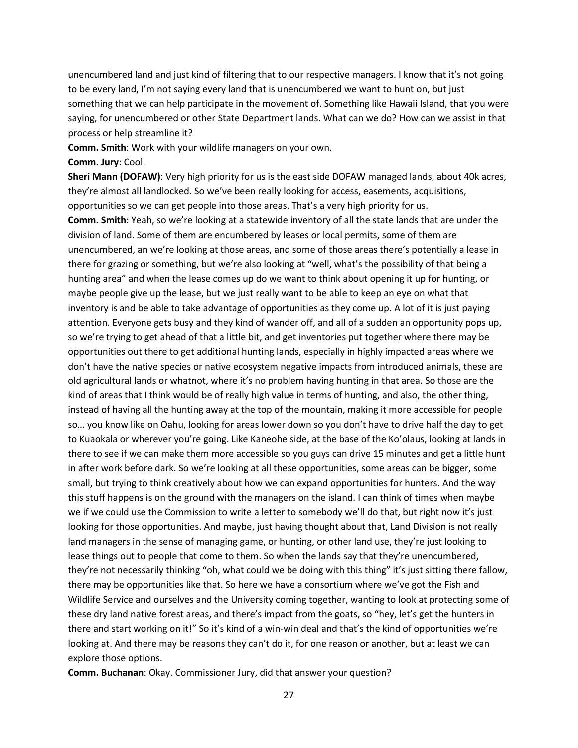unencumbered land and just kind of filtering that to our respective managers. I know that it's not going to be every land, I'm not saying every land that is unencumbered we want to hunt on, but just something that we can help participate in the movement of. Something like Hawaii Island, that you were saying, for unencumbered or other State Department lands. What can we do? How can we assist in that process or help streamline it?

**Comm. Smith**: Work with your wildlife managers on your own.

### **Comm. Jury**: Cool.

**Sheri Mann (DOFAW)**: Very high priority for us is the east side DOFAW managed lands, about 40k acres, they're almost all landlocked. So we've been really looking for access, easements, acquisitions, opportunities so we can get people into those areas. That's a very high priority for us.

**Comm. Smith**: Yeah, so we're looking at a statewide inventory of all the state lands that are under the division of land. Some of them are encumbered by leases or local permits, some of them are unencumbered, an we're looking at those areas, and some of those areas there's potentially a lease in there for grazing or something, but we're also looking at "well, what's the possibility of that being a hunting area" and when the lease comes up do we want to think about opening it up for hunting, or maybe people give up the lease, but we just really want to be able to keep an eye on what that inventory is and be able to take advantage of opportunities as they come up. A lot of it is just paying attention. Everyone gets busy and they kind of wander off, and all of a sudden an opportunity pops up, so we're trying to get ahead of that a little bit, and get inventories put together where there may be opportunities out there to get additional hunting lands, especially in highly impacted areas where we don't have the native species or native ecosystem negative impacts from introduced animals, these are old agricultural lands or whatnot, where it's no problem having hunting in that area. So those are the kind of areas that I think would be of really high value in terms of hunting, and also, the other thing, instead of having all the hunting away at the top of the mountain, making it more accessible for people so… you know like on Oahu, looking for areas lower down so you don't have to drive half the day to get to Kuaokala or wherever you're going. Like Kaneohe side, at the base of the Ko'olaus, looking at lands in there to see if we can make them more accessible so you guys can drive 15 minutes and get a little hunt in after work before dark. So we're looking at all these opportunities, some areas can be bigger, some small, but trying to think creatively about how we can expand opportunities for hunters. And the way this stuff happens is on the ground with the managers on the island. I can think of times when maybe we if we could use the Commission to write a letter to somebody we'll do that, but right now it's just looking for those opportunities. And maybe, just having thought about that, Land Division is not really land managers in the sense of managing game, or hunting, or other land use, they're just looking to lease things out to people that come to them. So when the lands say that they're unencumbered, they're not necessarily thinking "oh, what could we be doing with this thing" it's just sitting there fallow, there may be opportunities like that. So here we have a consortium where we've got the Fish and Wildlife Service and ourselves and the University coming together, wanting to look at protecting some of these dry land native forest areas, and there's impact from the goats, so "hey, let's get the hunters in there and start working on it!" So it's kind of a win-win deal and that's the kind of opportunities we're looking at. And there may be reasons they can't do it, for one reason or another, but at least we can explore those options.

**Comm. Buchanan**: Okay. Commissioner Jury, did that answer your question?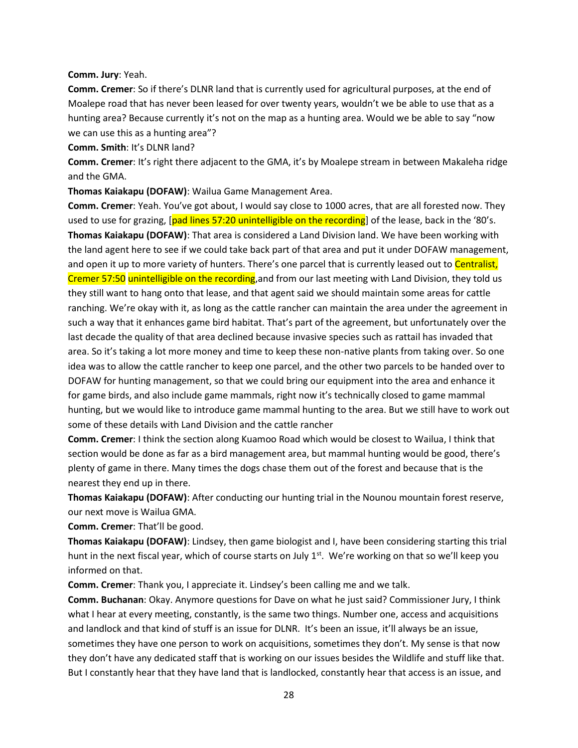**Comm. Jury**: Yeah.

**Comm. Cremer**: So if there's DLNR land that is currently used for agricultural purposes, at the end of Moalepe road that has never been leased for over twenty years, wouldn't we be able to use that as a hunting area? Because currently it's not on the map as a hunting area. Would we be able to say "now we can use this as a hunting area"?

**Comm. Smith**: It's DLNR land?

**Comm. Cremer**: It's right there adjacent to the GMA, it's by Moalepe stream in between Makaleha ridge and the GMA.

**Thomas Kaiakapu (DOFAW)**: Wailua Game Management Area.

**Comm. Cremer**: Yeah. You've got about, I would say close to 1000 acres, that are all forested now. They used to use for grazing, [pad lines 57:20 unintelligible on the recording] of the lease, back in the '80's. **Thomas Kaiakapu (DOFAW)**: That area is considered a Land Division land. We have been working with the land agent here to see if we could take back part of that area and put it under DOFAW management, and open it up to more variety of hunters. There's one parcel that is currently leased out to Centralist, Cremer 57:50 unintelligible on the recording, and from our last meeting with Land Division, they told us they still want to hang onto that lease, and that agent said we should maintain some areas for cattle ranching. We're okay with it, as long as the cattle rancher can maintain the area under the agreement in such a way that it enhances game bird habitat. That's part of the agreement, but unfortunately over the last decade the quality of that area declined because invasive species such as rattail has invaded that area. So it's taking a lot more money and time to keep these non-native plants from taking over. So one idea was to allow the cattle rancher to keep one parcel, and the other two parcels to be handed over to DOFAW for hunting management, so that we could bring our equipment into the area and enhance it for game birds, and also include game mammals, right now it's technically closed to game mammal hunting, but we would like to introduce game mammal hunting to the area. But we still have to work out some of these details with Land Division and the cattle rancher

**Comm. Cremer**: I think the section along Kuamoo Road which would be closest to Wailua, I think that section would be done as far as a bird management area, but mammal hunting would be good, there's plenty of game in there. Many times the dogs chase them out of the forest and because that is the nearest they end up in there.

**Thomas Kaiakapu (DOFAW)**: After conducting our hunting trial in the Nounou mountain forest reserve, our next move is Wailua GMA.

**Comm. Cremer**: That'll be good.

**Thomas Kaiakapu (DOFAW)**: Lindsey, then game biologist and I, have been considering starting this trial hunt in the next fiscal year, which of course starts on July 1<sup>st</sup>. We're working on that so we'll keep you informed on that.

**Comm. Cremer**: Thank you, I appreciate it. Lindsey's been calling me and we talk.

**Comm. Buchanan**: Okay. Anymore questions for Dave on what he just said? Commissioner Jury, I think what I hear at every meeting, constantly, is the same two things. Number one, access and acquisitions and landlock and that kind of stuff is an issue for DLNR. It's been an issue, it'll always be an issue, sometimes they have one person to work on acquisitions, sometimes they don't. My sense is that now they don't have any dedicated staff that is working on our issues besides the Wildlife and stuff like that. But I constantly hear that they have land that is landlocked, constantly hear that access is an issue, and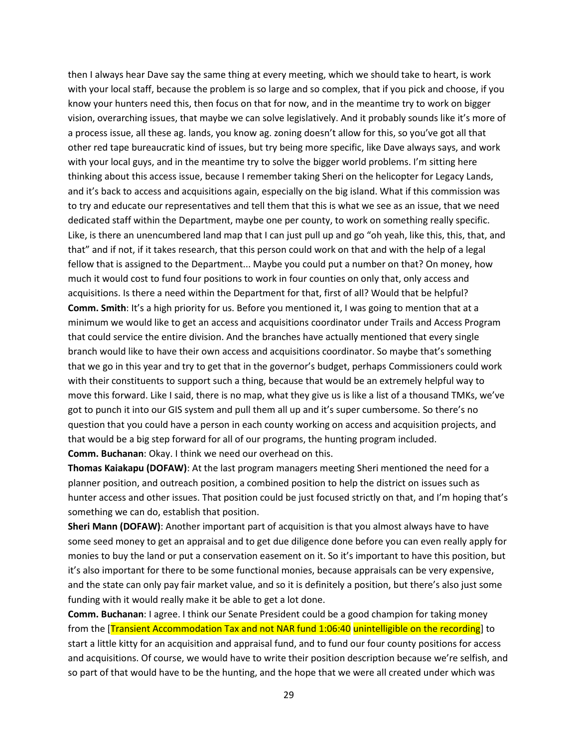then I always hear Dave say the same thing at every meeting, which we should take to heart, is work with your local staff, because the problem is so large and so complex, that if you pick and choose, if you know your hunters need this, then focus on that for now, and in the meantime try to work on bigger vision, overarching issues, that maybe we can solve legislatively. And it probably sounds like it's more of a process issue, all these ag. lands, you know ag. zoning doesn't allow for this, so you've got all that other red tape bureaucratic kind of issues, but try being more specific, like Dave always says, and work with your local guys, and in the meantime try to solve the bigger world problems. I'm sitting here thinking about this access issue, because I remember taking Sheri on the helicopter for Legacy Lands, and it's back to access and acquisitions again, especially on the big island. What if this commission was to try and educate our representatives and tell them that this is what we see as an issue, that we need dedicated staff within the Department, maybe one per county, to work on something really specific. Like, is there an unencumbered land map that I can just pull up and go "oh yeah, like this, this, that, and that" and if not, if it takes research, that this person could work on that and with the help of a legal fellow that is assigned to the Department... Maybe you could put a number on that? On money, how much it would cost to fund four positions to work in four counties on only that, only access and acquisitions. Is there a need within the Department for that, first of all? Would that be helpful? **Comm. Smith**: It's a high priority for us. Before you mentioned it, I was going to mention that at a minimum we would like to get an access and acquisitions coordinator under Trails and Access Program that could service the entire division. And the branches have actually mentioned that every single branch would like to have their own access and acquisitions coordinator. So maybe that's something that we go in this year and try to get that in the governor's budget, perhaps Commissioners could work with their constituents to support such a thing, because that would be an extremely helpful way to move this forward. Like I said, there is no map, what they give us is like a list of a thousand TMKs, we've got to punch it into our GIS system and pull them all up and it's super cumbersome. So there's no question that you could have a person in each county working on access and acquisition projects, and that would be a big step forward for all of our programs, the hunting program included. **Comm. Buchanan**: Okay. I think we need our overhead on this.

**Thomas Kaiakapu (DOFAW)**: At the last program managers meeting Sheri mentioned the need for a planner position, and outreach position, a combined position to help the district on issues such as hunter access and other issues. That position could be just focused strictly on that, and I'm hoping that's something we can do, establish that position.

**Sheri Mann (DOFAW)**: Another important part of acquisition is that you almost always have to have some seed money to get an appraisal and to get due diligence done before you can even really apply for monies to buy the land or put a conservation easement on it. So it's important to have this position, but it's also important for there to be some functional monies, because appraisals can be very expensive, and the state can only pay fair market value, and so it is definitely a position, but there's also just some funding with it would really make it be able to get a lot done.

**Comm. Buchanan**: I agree. I think our Senate President could be a good champion for taking money from the [Transient Accommodation Tax and not NAR fund 1:06:40 unintelligible on the recording] to start a little kitty for an acquisition and appraisal fund, and to fund our four county positions for access and acquisitions. Of course, we would have to write their position description because we're selfish, and so part of that would have to be the hunting, and the hope that we were all created under which was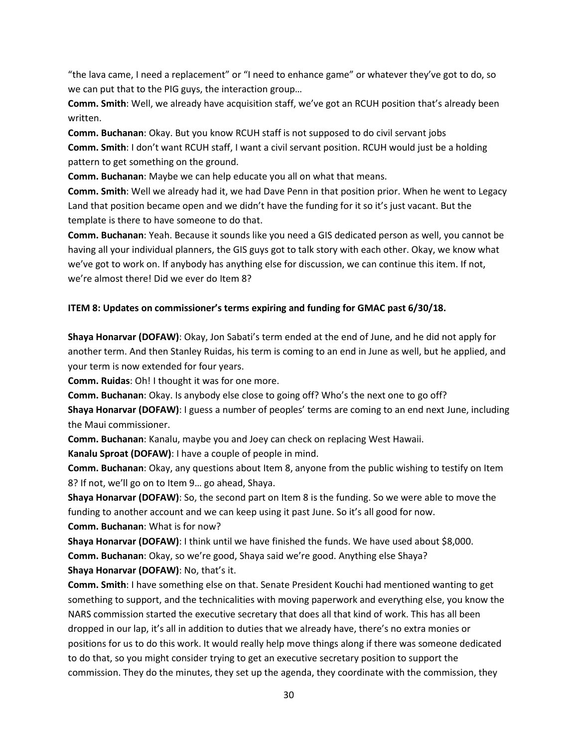"the lava came, I need a replacement" or "I need to enhance game" or whatever they've got to do, so we can put that to the PIG guys, the interaction group…

**Comm. Smith**: Well, we already have acquisition staff, we've got an RCUH position that's already been written.

**Comm. Buchanan**: Okay. But you know RCUH staff is not supposed to do civil servant jobs **Comm. Smith**: I don't want RCUH staff, I want a civil servant position. RCUH would just be a holding pattern to get something on the ground.

**Comm. Buchanan**: Maybe we can help educate you all on what that means.

**Comm. Smith**: Well we already had it, we had Dave Penn in that position prior. When he went to Legacy Land that position became open and we didn't have the funding for it so it's just vacant. But the template is there to have someone to do that.

**Comm. Buchanan**: Yeah. Because it sounds like you need a GIS dedicated person as well, you cannot be having all your individual planners, the GIS guys got to talk story with each other. Okay, we know what we've got to work on. If anybody has anything else for discussion, we can continue this item. If not, we're almost there! Did we ever do Item 8?

# **ITEM 8: Updates on commissioner's terms expiring and funding for GMAC past 6/30/18.**

**Shaya Honarvar (DOFAW)**: Okay, Jon Sabati's term ended at the end of June, and he did not apply for another term. And then Stanley Ruidas, his term is coming to an end in June as well, but he applied, and your term is now extended for four years.

**Comm. Ruidas**: Oh! I thought it was for one more.

**Comm. Buchanan**: Okay. Is anybody else close to going off? Who's the next one to go off?

**Shaya Honarvar (DOFAW)**: I guess a number of peoples' terms are coming to an end next June, including the Maui commissioner.

**Comm. Buchanan**: Kanalu, maybe you and Joey can check on replacing West Hawaii.

**Kanalu Sproat (DOFAW)**: I have a couple of people in mind.

**Comm. Buchanan**: Okay, any questions about Item 8, anyone from the public wishing to testify on Item 8? If not, we'll go on to Item 9… go ahead, Shaya.

**Shaya Honarvar (DOFAW)**: So, the second part on Item 8 is the funding. So we were able to move the funding to another account and we can keep using it past June. So it's all good for now.

**Comm. Buchanan**: What is for now?

**Shaya Honarvar (DOFAW)**: I think until we have finished the funds. We have used about \$8,000.

**Comm. Buchanan**: Okay, so we're good, Shaya said we're good. Anything else Shaya? **Shaya Honarvar (DOFAW)**: No, that's it.

**Comm. Smith**: I have something else on that. Senate President Kouchi had mentioned wanting to get something to support, and the technicalities with moving paperwork and everything else, you know the NARS commission started the executive secretary that does all that kind of work. This has all been dropped in our lap, it's all in addition to duties that we already have, there's no extra monies or positions for us to do this work. It would really help move things along if there was someone dedicated to do that, so you might consider trying to get an executive secretary position to support the commission. They do the minutes, they set up the agenda, they coordinate with the commission, they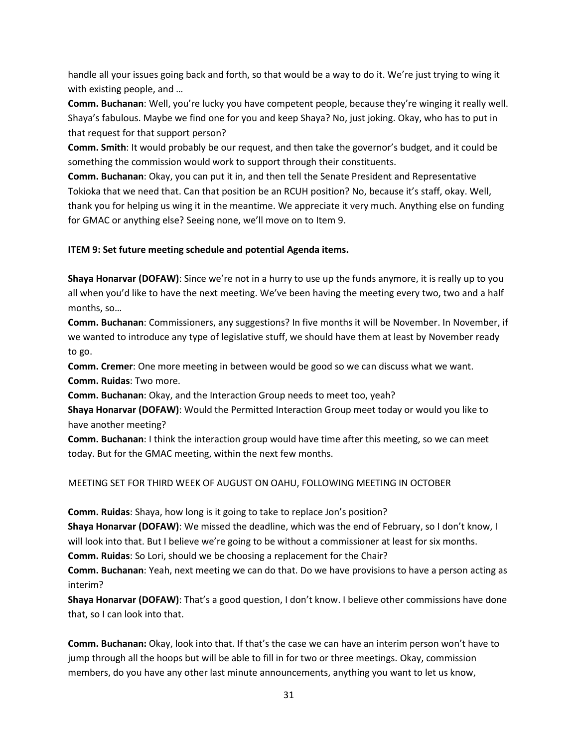handle all your issues going back and forth, so that would be a way to do it. We're just trying to wing it with existing people, and …

**Comm. Buchanan**: Well, you're lucky you have competent people, because they're winging it really well. Shaya's fabulous. Maybe we find one for you and keep Shaya? No, just joking. Okay, who has to put in that request for that support person?

**Comm. Smith**: It would probably be our request, and then take the governor's budget, and it could be something the commission would work to support through their constituents.

**Comm. Buchanan**: Okay, you can put it in, and then tell the Senate President and Representative Tokioka that we need that. Can that position be an RCUH position? No, because it's staff, okay. Well, thank you for helping us wing it in the meantime. We appreciate it very much. Anything else on funding for GMAC or anything else? Seeing none, we'll move on to Item 9.

# **ITEM 9: Set future meeting schedule and potential Agenda items.**

**Shaya Honarvar (DOFAW)**: Since we're not in a hurry to use up the funds anymore, it is really up to you all when you'd like to have the next meeting. We've been having the meeting every two, two and a half months, so…

**Comm. Buchanan**: Commissioners, any suggestions? In five months it will be November. In November, if we wanted to introduce any type of legislative stuff, we should have them at least by November ready to go.

**Comm. Cremer**: One more meeting in between would be good so we can discuss what we want. **Comm. Ruidas**: Two more.

**Comm. Buchanan**: Okay, and the Interaction Group needs to meet too, yeah?

**Shaya Honarvar (DOFAW)**: Would the Permitted Interaction Group meet today or would you like to have another meeting?

**Comm. Buchanan**: I think the interaction group would have time after this meeting, so we can meet today. But for the GMAC meeting, within the next few months.

# MEETING SET FOR THIRD WEEK OF AUGUST ON OAHU, FOLLOWING MEETING IN OCTOBER

**Comm. Ruidas**: Shaya, how long is it going to take to replace Jon's position?

**Shaya Honarvar (DOFAW)**: We missed the deadline, which was the end of February, so I don't know, I

will look into that. But I believe we're going to be without a commissioner at least for six months.

**Comm. Ruidas**: So Lori, should we be choosing a replacement for the Chair?

**Comm. Buchanan**: Yeah, next meeting we can do that. Do we have provisions to have a person acting as interim?

**Shaya Honarvar (DOFAW)**: That's a good question, I don't know. I believe other commissions have done that, so I can look into that.

**Comm. Buchanan:** Okay, look into that. If that's the case we can have an interim person won't have to jump through all the hoops but will be able to fill in for two or three meetings. Okay, commission members, do you have any other last minute announcements, anything you want to let us know,